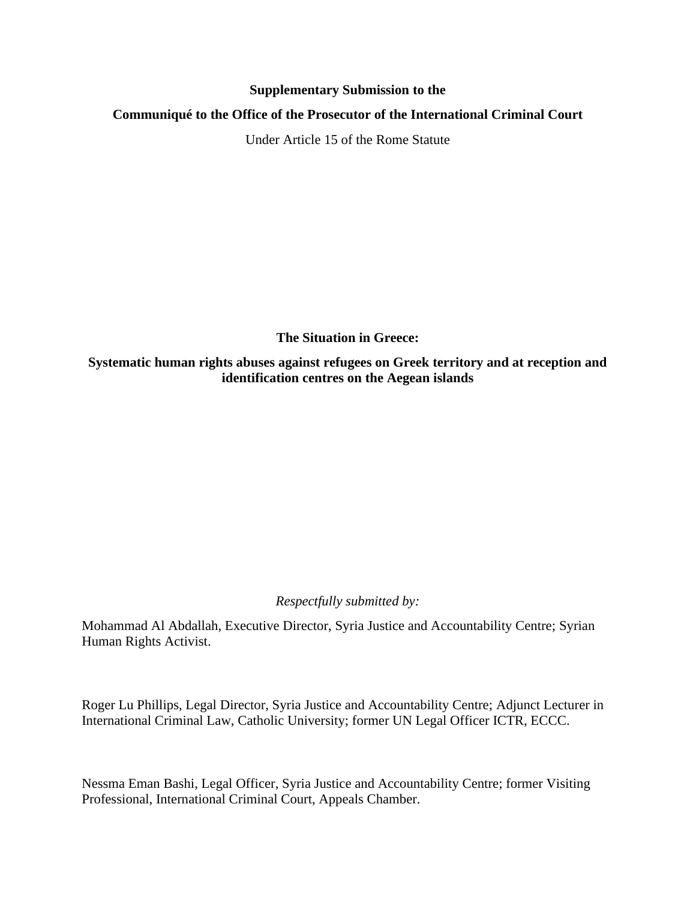### **Supplementary Submission to the**

## **Communiqué to the Office of the Prosecutor of the International Criminal Court**

Under Article 15 of the Rome Statute

**The Situation in Greece:** 

**Systematic human rights abuses against refugees on Greek territory and at reception and identification centres on the Aegean islands** 

*Respectfully submitted by:* 

Mohammad Al Abdallah, Executive Director, Syria Justice and Accountability Centre; Syrian Human Rights Activist.

Roger Lu Phillips, Legal Director, Syria Justice and Accountability Centre; Adjunct Lecturer in International Criminal Law, Catholic University; former UN Legal Officer ICTR, ECCC.

Nessma Eman Bashi, Legal Officer, Syria Justice and Accountability Centre; former Visiting Professional, International Criminal Court, Appeals Chamber.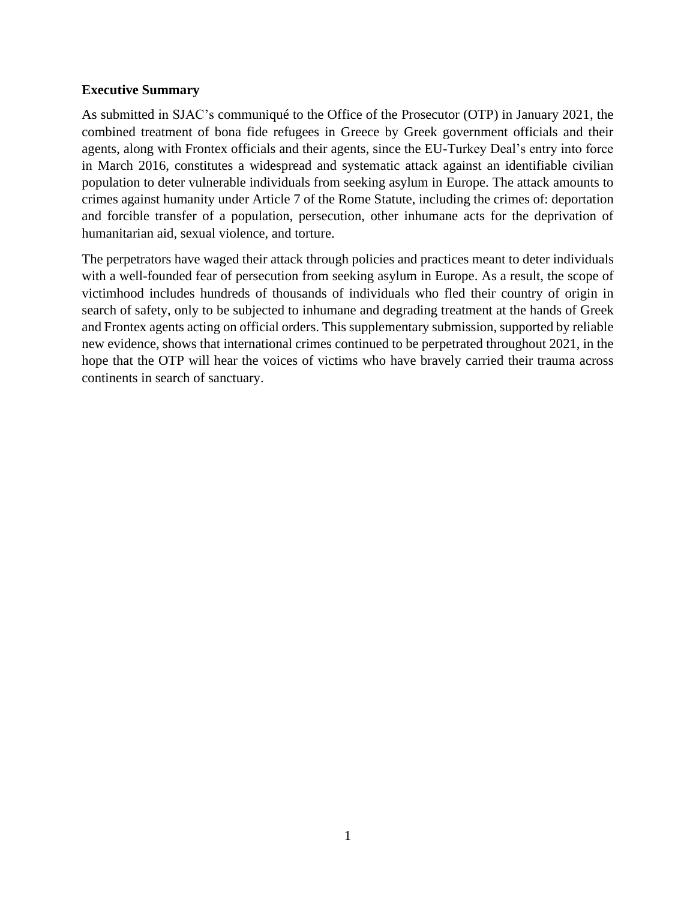### **Executive Summary**

As submitted in SJAC's communiqué to the Office of the Prosecutor (OTP) in January 2021, the combined treatment of bona fide refugees in Greece by Greek government officials and their agents, along with Frontex officials and their agents, since the EU-Turkey Deal's entry into force in March 2016, constitutes a widespread and systematic attack against an identifiable civilian population to deter vulnerable individuals from seeking asylum in Europe. The attack amounts to crimes against humanity under Article 7 of the Rome Statute, including the crimes of: deportation and forcible transfer of a population, persecution, other inhumane acts for the deprivation of humanitarian aid, sexual violence, and torture.

The perpetrators have waged their attack through policies and practices meant to deter individuals with a well-founded fear of persecution from seeking asylum in Europe. As a result, the scope of victimhood includes hundreds of thousands of individuals who fled their country of origin in search of safety, only to be subjected to inhumane and degrading treatment at the hands of Greek and Frontex agents acting on official orders. This supplementary submission, supported by reliable new evidence, shows that international crimes continued to be perpetrated throughout 2021, in the hope that the OTP will hear the voices of victims who have bravely carried their trauma across continents in search of sanctuary.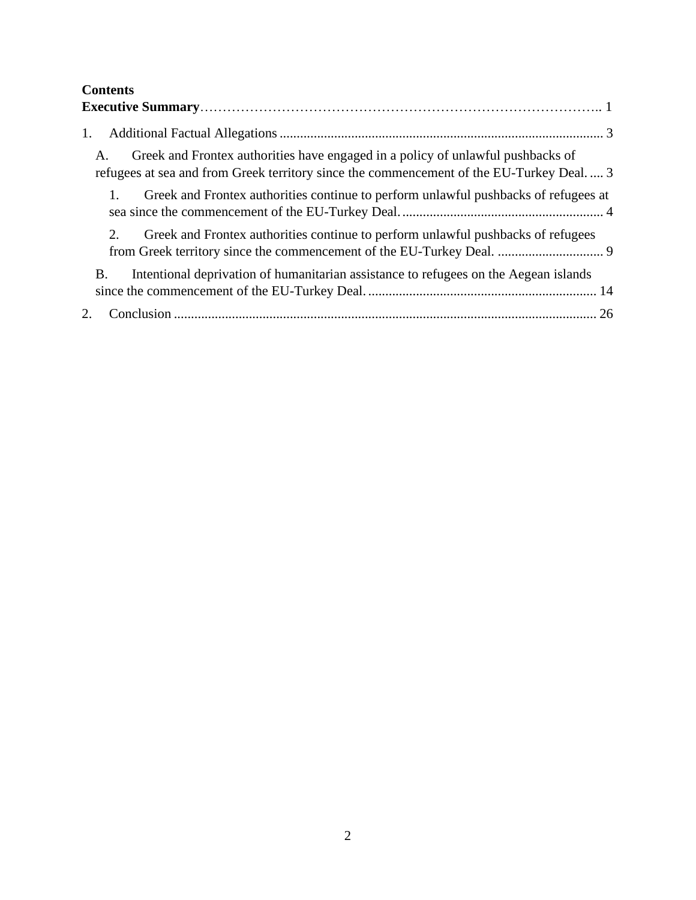# **Contents**

| 1.                                                                                                                                                                                 |
|------------------------------------------------------------------------------------------------------------------------------------------------------------------------------------|
| Greek and Frontex authorities have engaged in a policy of unlawful pushbacks of<br>A.<br>refugees at sea and from Greek territory since the commencement of the EU-Turkey Deal.  3 |
| Greek and Frontex authorities continue to perform unlawful pushbacks of refugees at                                                                                                |
| $2^{1}$<br>Greek and Frontex authorities continue to perform unlawful pushbacks of refugees                                                                                        |
| Intentional deprivation of humanitarian assistance to refugees on the Aegean islands<br>Β.                                                                                         |
| 2.                                                                                                                                                                                 |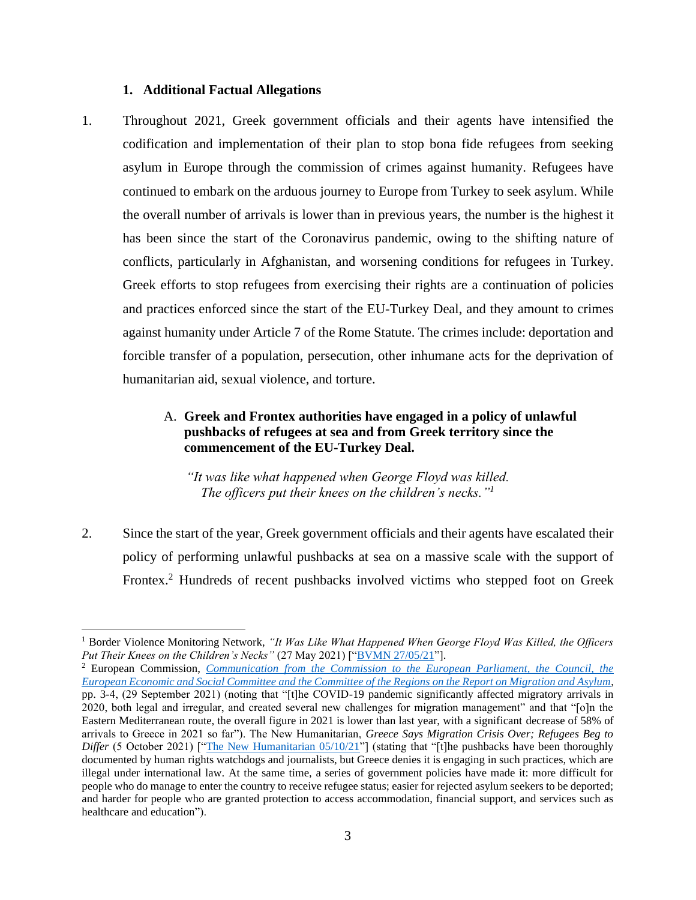#### **1. Additional Factual Allegations**

<span id="page-3-0"></span>1. Throughout 2021, Greek government officials and their agents have intensified the codification and implementation of their plan to stop bona fide refugees from seeking asylum in Europe through the commission of crimes against humanity. Refugees have continued to embark on the arduous journey to Europe from Turkey to seek asylum. While the overall number of arrivals is lower than in previous years, the number is the highest it has been since the start of the Coronavirus pandemic, owing to the shifting nature of conflicts, particularly in Afghanistan, and worsening conditions for refugees in Turkey. Greek efforts to stop refugees from exercising their rights are a continuation of policies and practices enforced since the start of the EU-Turkey Deal, and they amount to crimes against humanity under Article 7 of the Rome Statute. The crimes include: deportation and forcible transfer of a population, persecution, other inhumane acts for the deprivation of humanitarian aid, sexual violence, and torture.

# <span id="page-3-1"></span>A. **Greek and Frontex authorities have engaged in a policy of unlawful pushbacks of refugees at sea and from Greek territory since the commencement of the EU-Turkey Deal.**

*"It was like what happened when George Floyd was killed. The officers put their knees on the children's necks." 1*

2. Since the start of the year, Greek government officials and their agents have escalated their policy of performing unlawful pushbacks at sea on a massive scale with the support of Frontex. <sup>2</sup> Hundreds of recent pushbacks involved victims who stepped foot on Greek

<sup>&</sup>lt;sup>1</sup> Border Violence Monitoring Network, "It Was Like What Happened When George Floyd Was Killed, the Officers *Put Their Knees on the Children's Necks"* (27 May 2021) ["*BVMN 27/05/21"*].

<sup>2</sup> European Commission, *[Communication from the Commission to the European Parliament, the Council, the](https://ec.europa.eu/info/sites/default/files/report-migration-asylum.pdf)  [European Economic and Social Committee and the Committee of the Regions on the Report on Migration and Asylum](https://ec.europa.eu/info/sites/default/files/report-migration-asylum.pdf)*, pp. 3-4, (29 September 2021) (noting that "[t]he COVID-19 pandemic significantly affected migratory arrivals in 2020, both legal and irregular, and created several new challenges for migration management" and that "[o]n the Eastern Mediterranean route, the overall figure in 2021 is lower than last year, with a significant decrease of 58% of arrivals to Greece in 2021 so far"). The New Humanitarian, *Greece Says Migration Crisis Over; Refugees Beg to Differ* (5 October 2021) [["The New Humanitarian 05/10/21"](https://www.thenewhumanitarian.org/news-feature/2021/10/5/Greece-says-migration-crisis-over-refugees-beg-to-differ)] (stating that "[t]he pushbacks have been thoroughly documented by human rights watchdogs and journalists, but Greece denies it is engaging in such practices, which are illegal under international law. At the same time, a series of government policies have made it: more difficult for people who do manage to enter the country to receive refugee status; easier for rejected asylum seekers to be deported; and harder for people who are granted protection to access accommodation, financial support, and services such as healthcare and education").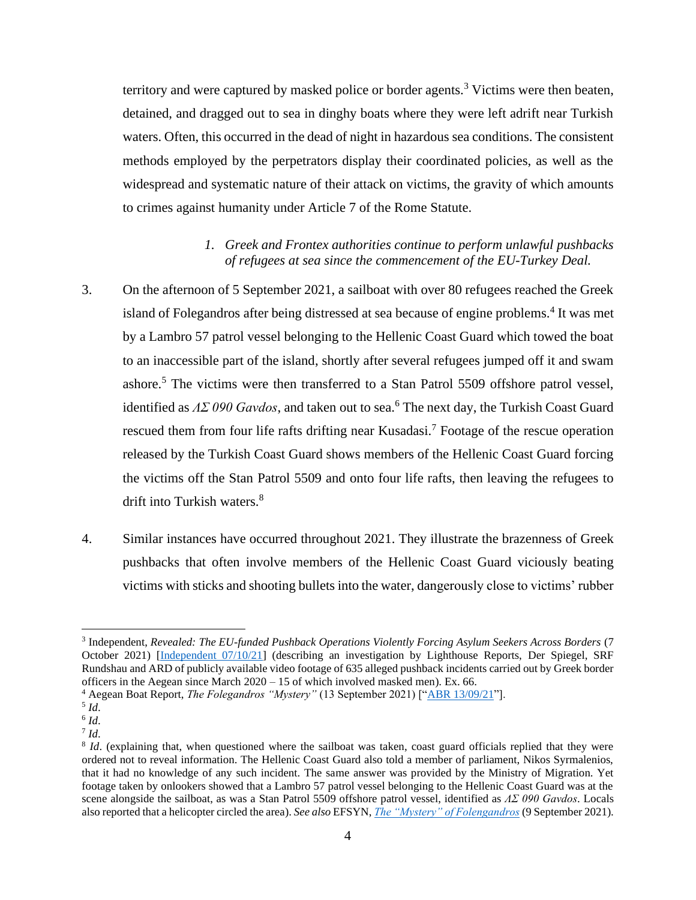territory and were captured by masked police or border agents.<sup>3</sup> Victims were then beaten, detained, and dragged out to sea in dinghy boats where they were left adrift near Turkish waters. Often, this occurred in the dead of night in hazardous sea conditions. The consistent methods employed by the perpetrators display their coordinated policies, as well as the widespread and systematic nature of their attack on victims, the gravity of which amounts to crimes against humanity under Article 7 of the Rome Statute.

# *1. Greek and Frontex authorities continue to perform unlawful pushbacks of refugees at sea since the commencement of the EU-Turkey Deal.*

- <span id="page-4-0"></span>3. On the afternoon of 5 September 2021, a sailboat with over 80 refugees reached the Greek island of Folegandros after being distressed at sea because of engine problems.<sup>4</sup> It was met by a Lambro 57 patrol vessel belonging to the Hellenic Coast Guard which towed the boat to an inaccessible part of the island, shortly after several refugees jumped off it and swam ashore.<sup>5</sup> The victims were then transferred to a Stan Patrol 5509 offshore patrol vessel, identified as  $\Lambda \Sigma$  090 Gavdos, and taken out to sea.<sup>6</sup> The next day, the Turkish Coast Guard rescued them from four life rafts drifting near Kusadasi.<sup>7</sup> Footage of the rescue operation released by the Turkish Coast Guard shows members of the Hellenic Coast Guard forcing the victims off the Stan Patrol 5509 and onto four life rafts, then leaving the refugees to drift into Turkish waters.<sup>8</sup>
- 4. Similar instances have occurred throughout 2021. They illustrate the brazenness of Greek pushbacks that often involve members of the Hellenic Coast Guard viciously beating victims with sticks and shooting bullets into the water, dangerously close to victims' rubber

<sup>3</sup> Independent, *Revealed: The EU-funded Pushback Operations Violently Forcing Asylum Seekers Across Borders* (7 October 2021) [\[Independent 07/10/21\]](https://www.independent.co.uk/news/world/europe/eu-migrants-pushback-asylum-illegal-b1933519.html) (describing an investigation by Lighthouse Reports, Der Spiegel, SRF Rundshau and ARD of publicly available video footage of 635 alleged pushback incidents carried out by Greek border officers in the Aegean since March 2020 – 15 of which involved masked men). Ex. 66.

<sup>&</sup>lt;sup>4</sup> Aegean Boat Report, *The Folegandros "Mystery"* (13 September 2021) [["ABR 13/09/21"](https://aegeanboatreport.com/2021/09/13/the-folegandros-mystery/)].

<sup>5</sup> *Id*.

<sup>6</sup> *Id*.

<sup>7</sup> *Id*.

<sup>&</sup>lt;sup>8</sup> *Id*. (explaining that, when questioned where the sailboat was taken, coast guard officials replied that they were ordered not to reveal information. The Hellenic Coast Guard also told a member of parliament, Nikos Syrmalenios, that it had no knowledge of any such incident. The same answer was provided by the Ministry of Migration. Yet footage taken by onlookers showed that a Lambro 57 patrol vessel belonging to the Hellenic Coast Guard was at the scene alongside the sailboat, as was a Stan Patrol 5509 offshore patrol vessel, identified as *ΛΣ 090 Gavdos*. Locals also reported that a helicopter circled the area). *See also* EFSYN, *[The "Mystery" of Folengandros](https://www.efsyn.gr/ellada/dikaiomata/309507_oi-afantoi-tis-folegandroy)* (9 September 2021).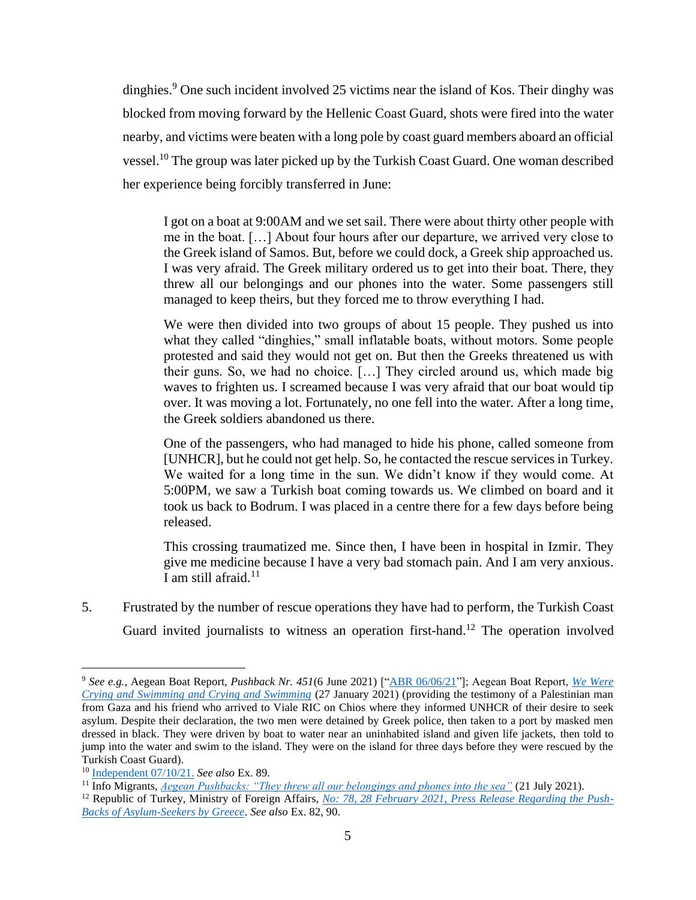dinghies.<sup>9</sup> One such incident involved 25 victims near the island of Kos. Their dinghy was blocked from moving forward by the Hellenic Coast Guard, shots were fired into the water nearby, and victims were beaten with a long pole by coast guard members aboard an official vessel.<sup>10</sup> The group was later picked up by the Turkish Coast Guard. One woman described her experience being forcibly transferred in June:

I got on a boat at 9:00AM and we set sail. There were about thirty other people with me in the boat. […] About four hours after our departure, we arrived very close to the Greek island of Samos. But, before we could dock, a Greek ship approached us. I was very afraid. The Greek military ordered us to get into their boat. There, they threw all our belongings and our phones into the water. Some passengers still managed to keep theirs, but they forced me to throw everything I had.

We were then divided into two groups of about 15 people. They pushed us into what they called "dinghies," small inflatable boats, without motors. Some people protested and said they would not get on. But then the Greeks threatened us with their guns. So, we had no choice. […] They circled around us, which made big waves to frighten us. I screamed because I was very afraid that our boat would tip over. It was moving a lot. Fortunately, no one fell into the water. After a long time, the Greek soldiers abandoned us there.

One of the passengers, who had managed to hide his phone, called someone from [UNHCR], but he could not get help. So, he contacted the rescue services in Turkey. We waited for a long time in the sun. We didn't know if they would come. At 5:00PM, we saw a Turkish boat coming towards us. We climbed on board and it took us back to Bodrum. I was placed in a centre there for a few days before being released.

This crossing traumatized me. Since then, I have been in hospital in Izmir. They give me medicine because I have a very bad stomach pain. And I am very anxious. I am still afraid. $11$ 

5. Frustrated by the number of rescue operations they have had to perform, the Turkish Coast Guard invited journalists to witness an operation first-hand.<sup>12</sup> The operation involved

<sup>9</sup> *See e.g.*, Aegean Boat Report, *Pushback Nr. 451*(6 June 2021) [["ABR 06/06/21"](https://aegeanboatreport.com/2021/06/06/pushback-nr-451/?fbclid=IwAR1HmH0KMdVAUETHi10Kg6C0G7Tzy36eRTT0iQPEnnkWARgg6OLkQfrc_ac)]; Aegean Boat Report, *[We Were](https://www.borderviolence.eu/violence-reports/january-27-2021-2100-fener-adasi-turkey/)  [Crying and Swimming and Crying and Swimming](https://www.borderviolence.eu/violence-reports/january-27-2021-2100-fener-adasi-turkey/)* (27 January 2021) (providing the testimony of a Palestinian man from Gaza and his friend who arrived to Viale RIC on Chios where they informed UNHCR of their desire to seek asylum. Despite their declaration, the two men were detained by Greek police, then taken to a port by masked men dressed in black. They were driven by boat to water near an uninhabited island and given life jackets, then told to jump into the water and swim to the island. They were on the island for three days before they were rescued by the Turkish Coast Guard).

<sup>10</sup> [Independent 07/10/21.](https://www.independent.co.uk/news/world/europe/eu-migrants-pushback-asylum-illegal-b1933519.html) *See also* Ex. 89.

<sup>11</sup> Info Migrants, *[Aegean Pushbacks: "They threw all our belongings and phones into the sea"](https://www.infomigrants.net/en/post/33659/aegean-pushbacks-they-threw-all-our-belongings-and-phones-into-the-sea)* (21 July 2021).

<sup>&</sup>lt;sup>12</sup> Republic of Turkey, Ministry of Foreign Affairs, *[No: 78, 28 February 2021, Press Release Regarding the Push-](https://www.mfa.gov.tr/no_-78_-yunanistan-in-siginmacilari-geri-itmesi-hk.en.mfa)[Backs of Asylum-Seekers by Greece](https://www.mfa.gov.tr/no_-78_-yunanistan-in-siginmacilari-geri-itmesi-hk.en.mfa)*. *See also* Ex. 82, 90.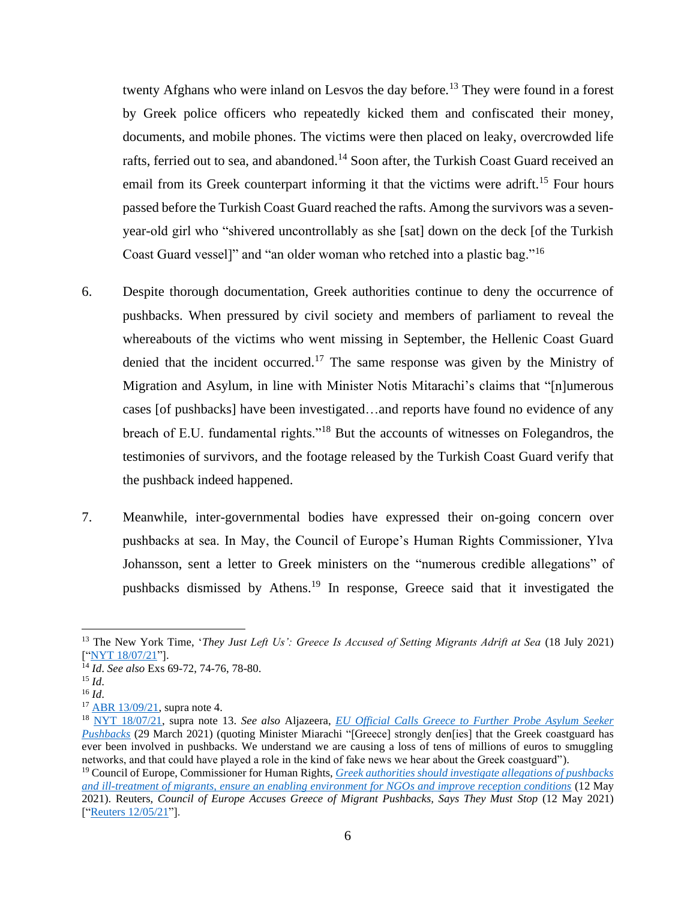twenty Afghans who were inland on Lesvos the day before.<sup>13</sup> They were found in a forest by Greek police officers who repeatedly kicked them and confiscated their money, documents, and mobile phones. The victims were then placed on leaky, overcrowded life rafts, ferried out to sea, and abandoned.<sup>14</sup> Soon after, the Turkish Coast Guard received an email from its Greek counterpart informing it that the victims were adrift.<sup>15</sup> Four hours passed before the Turkish Coast Guard reached the rafts. Among the survivors was a sevenyear-old girl who "shivered uncontrollably as she [sat] down on the deck [of the Turkish Coast Guard vessel]" and "an older woman who retched into a plastic bag."<sup>16</sup>

- 6. Despite thorough documentation, Greek authorities continue to deny the occurrence of pushbacks. When pressured by civil society and members of parliament to reveal the whereabouts of the victims who went missing in September, the Hellenic Coast Guard denied that the incident occurred.<sup>17</sup> The same response was given by the Ministry of Migration and Asylum, in line with Minister Notis Mitarachi's claims that "[n]umerous cases [of pushbacks] have been investigated…and reports have found no evidence of any breach of E.U. fundamental rights."<sup>18</sup> But the accounts of witnesses on Folegandros, the testimonies of survivors, and the footage released by the Turkish Coast Guard verify that the pushback indeed happened.
- 7. Meanwhile, inter-governmental bodies have expressed their on-going concern over pushbacks at sea. In May, the Council of Europe's Human Rights Commissioner, Ylva Johansson, sent a letter to Greek ministers on the "numerous credible allegations" of pushbacks dismissed by Athens.<sup>19</sup> In response, Greece said that it investigated the

<sup>13</sup> The New York Time, '*They Just Left Us': Greece Is Accused of Setting Migrants Adrift at Sea* (18 July 2021) [["NYT 18/07/21"](https://www.nytimes.com/2021/07/18/world/europe/greece-migrants.html)].

<sup>14</sup> *Id*. *See also* Exs 69-72, 74-76, 78-80.

<sup>15</sup> *Id*.

<sup>16</sup> *Id*.

<sup>17</sup> [ABR 13/09/21,](https://aegeanboatreport.com/2021/09/13/the-folegandros-mystery/) supra note 4.

<sup>18</sup> [NYT 18/07/21,](https://www.nytimes.com/2021/07/18/world/europe/greece-migrants.html) supra note 13. *See also* Aljazeera, *[EU Official Calls Greece to Further Probe Asylum Seeker](https://www.aljazeera.com/news/2021/3/29/greece-eu-official-concerned-over-reports-of-refugee-pushbacks)  [Pushbacks](https://www.aljazeera.com/news/2021/3/29/greece-eu-official-concerned-over-reports-of-refugee-pushbacks)* (29 March 2021) (quoting Minister Miarachi "[Greece] strongly den[ies] that the Greek coastguard has ever been involved in pushbacks. We understand we are causing a loss of tens of millions of euros to smuggling networks, and that could have played a role in the kind of fake news we hear about the Greek coastguard"). <sup>19</sup> Council of Europe, Commissioner for Human Rights, *[Greek authorities should investigate allegations of pushbacks](https://www.coe.int/en/web/commissioner/-/greek-authorities-should-investigate-allegations-of-pushbacks-and-ill-treatment-of-migrants-ensure-an-enabling-environment-for-ngos-and-improve-recept)  [and ill-treatment of migrants, ensure an enabling environment for NGOs and improve reception conditions](https://www.coe.int/en/web/commissioner/-/greek-authorities-should-investigate-allegations-of-pushbacks-and-ill-treatment-of-migrants-ensure-an-enabling-environment-for-ngos-and-improve-recept)* (12 May 2021). Reuters, *Council of Europe Accuses Greece of Migrant Pushbacks, Says They Must Stop* (12 May 2021) [["Reuters 12/05/21"](https://www.reuters.com/world/europe/council-europe-accuses-greece-migrant-pushbacks-says-they-must-stop-2021-05-12/)].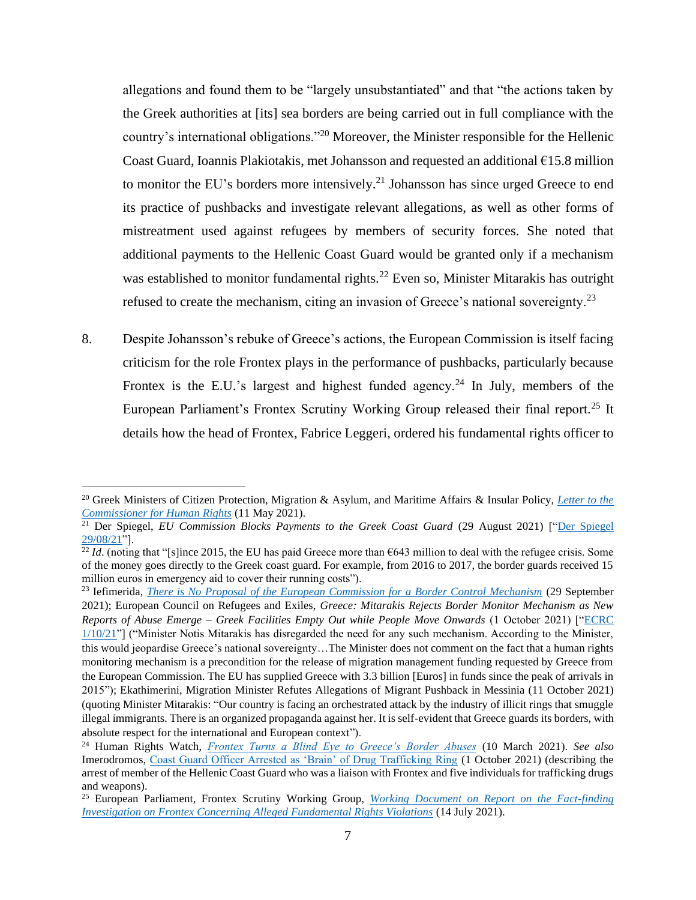allegations and found them to be "largely unsubstantiated" and that "the actions taken by the Greek authorities at [its] sea borders are being carried out in full compliance with the country's international obligations."<sup>20</sup> Moreover, the Minister responsible for the Hellenic Coast Guard, Ioannis Plakiotakis, met Johansson and requested an additional €15.8 million to monitor the EU's borders more intensively.<sup>21</sup> Johansson has since urged Greece to end its practice of pushbacks and investigate relevant allegations, as well as other forms of mistreatment used against refugees by members of security forces. She noted that additional payments to the Hellenic Coast Guard would be granted only if a mechanism was established to monitor fundamental rights.<sup>22</sup> Even so, Minister Mitarakis has outright refused to create the mechanism, citing an invasion of Greece's national sovereignty.<sup>23</sup>

8. Despite Johansson's rebuke of Greece's actions, the European Commission is itself facing criticism for the role Frontex plays in the performance of pushbacks, particularly because Frontex is the E.U.'s largest and highest funded agency.<sup>24</sup> In July, members of the European Parliament's Frontex Scrutiny Working Group released their final report.<sup>25</sup> It details how the head of Frontex, Fabrice Leggeri, ordered his fundamental rights officer to

<sup>20</sup> Greek Ministers of Citizen Protection, Migration & Asylum, and Maritime Affairs & Insular Policy, *[Letter to the](https://rm.coe.int/commdh-govrep-2021-7-reply-of-the-greek-authorities-en/1680a27094)  [Commissioner for Human Rights](https://rm.coe.int/commdh-govrep-2021-7-reply-of-the-greek-authorities-en/1680a27094)* (11 May 2021).

<sup>&</sup>lt;sup>21</sup> Der Spiegel, *EU Commission Blocks Payments to the Greek Coast Guard* (29 August 2021) ["Der Spiegel  $29/08/21$ "].

 $\frac{1}{22}$  *Id.* (noting that "[s]ince 2015, the EU has paid Greece more than €643 million to deal with the refugee crisis. Some of the money goes directly to the Greek coast guard. For example, from 2016 to 2017, the border guards received 15 million euros in emergency aid to cover their running costs").

<sup>23</sup> Iefimerida, *[There is No Proposal of the European Commission for a Border Control Mechanism](https://www.iefimerida.gr/politiki/boyli-mitarakis-epitropis-mihanismo-synoron?fbclid=IwAR3LeX5gVy60mzfckHf-f8ZnU1rh_rPEqGDQLqK7mAJkWhzprhy-Ctu0oy4)* (29 September 2021); European Council on Refugees and Exiles, *Greece: Mitarakis Rejects Border Monitor Mechanism as New Reports of Abuse Emerge – Greek Facilities Empty Out while People Move Onwards* (1 October 2021) [["ECRC](https://ecre.org/greece-mitarakis-rejects-border-monitor-mechanism-as-new-reports-of-abuse-emerge-greek-facilities-empty-out-while-people-move-onwards/)   $1/10/21$ "] ("Minister Notis Mitarakis has disregarded the need for any such mechanism. According to the Minister, this would jeopardise Greece's national sovereignty…The Minister does not comment on the fact that a human rights monitoring mechanism is a precondition for the release of migration management funding requested by Greece from the European Commission. The EU has supplied Greece with 3.3 billion [Euros] in funds since the peak of arrivals in 2015"); Ekathimerini, Migration Minister Refutes Allegations of Migrant Pushback in Messinia (11 October 2021) (quoting Minister Mitarakis: "Our country is facing an orchestrated attack by the industry of illicit rings that smuggle illegal immigrants. There is an organized propaganda against her. It is self-evident that Greece guards its borders, with absolute respect for the international and European context").

<sup>24</sup> Human Rights Watch, *[Frontex Turns a Blind Eye to Greece's Border Abuses](https://www.hrw.org/news/2021/03/10/frontex-turns-blind-eye-greeces-border-abuses)* (10 March 2021). *See also* Imerodromos, [Coast Guard Officer Arrested as 'Brain' of Drug Trafficking Ring](https://www.imerodromos.gr/axiomatikos-toy-limenikoy-synelifthi-os-egkefalos-speiras-diakinisis-narkotikon/) (1 October 2021) (describing the arrest of member of the Hellenic Coast Guard who was a liaison with Frontex and five individuals for trafficking drugs and weapons).

<sup>25</sup> European Parliament, Frontex Scrutiny Working Group, *[Working Document on Report on the Fact-finding](https://www.europarl.europa.eu/doceo/document/LIBE-DT-692887_EN.pdf)  [Investigation on Frontex Concerning Alleged Fundamental Rights Violations](https://www.europarl.europa.eu/doceo/document/LIBE-DT-692887_EN.pdf)* (14 July 2021).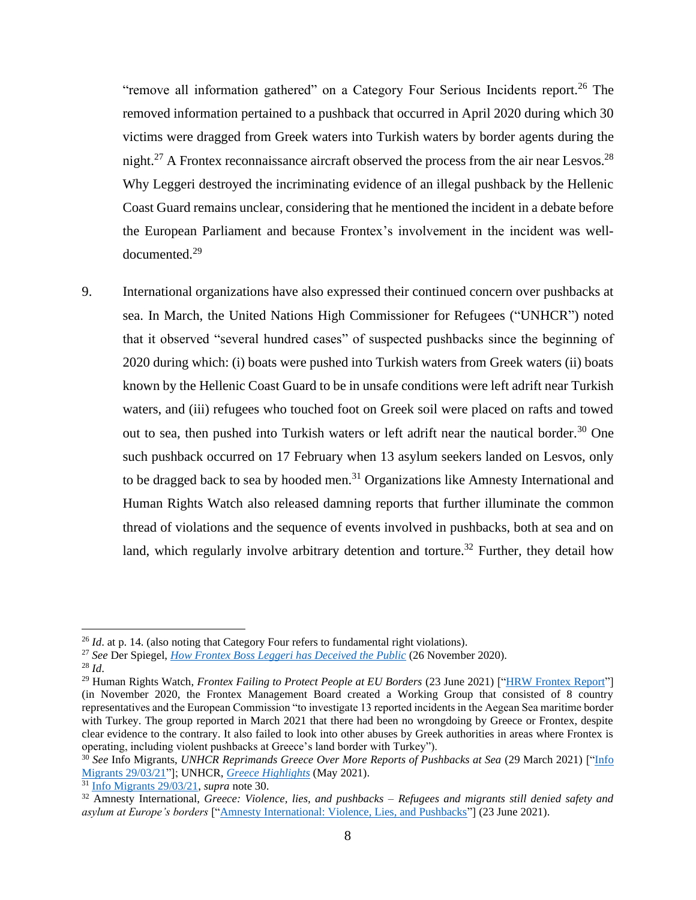"remove all information gathered" on a Category Four Serious Incidents report.<sup>26</sup> The removed information pertained to a pushback that occurred in April 2020 during which 30 victims were dragged from Greek waters into Turkish waters by border agents during the night.<sup>27</sup> A Frontex reconnaissance aircraft observed the process from the air near Lesvos.<sup>28</sup> Why Leggeri destroyed the incriminating evidence of an illegal pushback by the Hellenic Coast Guard remains unclear, considering that he mentioned the incident in a debate before the European Parliament and because Frontex's involvement in the incident was welldocumented.<sup>29</sup>

9. International organizations have also expressed their continued concern over pushbacks at sea. In March, the United Nations High Commissioner for Refugees ("UNHCR") noted that it observed "several hundred cases" of suspected pushbacks since the beginning of 2020 during which: (i) boats were pushed into Turkish waters from Greek waters (ii) boats known by the Hellenic Coast Guard to be in unsafe conditions were left adrift near Turkish waters, and (iii) refugees who touched foot on Greek soil were placed on rafts and towed out to sea, then pushed into Turkish waters or left adrift near the nautical border.<sup>30</sup> One such pushback occurred on 17 February when 13 asylum seekers landed on Lesvos, only to be dragged back to sea by hooded men.<sup>31</sup> Organizations like Amnesty International and Human Rights Watch also released damning reports that further illuminate the common thread of violations and the sequence of events involved in pushbacks, both at sea and on land, which regularly involve arbitrary detention and torture.<sup>32</sup> Further, they detail how

<sup>&</sup>lt;sup>26</sup> *Id.* at p. 14. (also noting that Category Four refers to fundamental right violations).

<sup>27</sup> *See* Der Spiegel, *[How Frontex Boss Leggeri has Deceived the Public](https://www.spiegel.de/ausland/wie-frontex-chef-fabrice-leggeri-die-oeffentlichkeit-getaeuscht-hat-a-97235557-16c5-4340-bf9b-c1032b2dabab)* (26 November 2020).

<sup>28</sup> *Id*.

<sup>&</sup>lt;sup>29</sup> Human Rights Watch, *Frontex Failing to Protect People at EU Borders* (23 June 2021) [["HRW Frontex Report"](https://www.hrw.org/news/2021/06/23/frontex-failing-protect-people-eu-borders)] (in November 2020, the Frontex Management Board created a Working Group that consisted of 8 country representatives and the European Commission "to investigate 13 reported incidents in the Aegean Sea maritime border with Turkey. The group reported in March 2021 that there had been no wrongdoing by Greece or Frontex, despite clear evidence to the contrary. It also failed to look into other abuses by Greek authorities in areas where Frontex is operating, including violent pushbacks at Greece's land border with Turkey").

<sup>&</sup>lt;sup>30</sup> See Info Migrants, *UNHCR Reprimands Greece Over More Reports of Pushbacks at Sea* (29 March 2021) ["Info [Migrants 29/03/21"](https://www.infomigrants.net/en/post/31174/unhcr-reprimands-greece-over-more-reports-of-pushbacks-at-sea)]; UNHCR, *[Greece Highlights](https://reporting.unhcr.org/sites/default/files/Greece%20Highlights%20May%202021.pdf)* (May 2021).

<sup>31</sup> [Info Migrants 29/03/21,](https://www.infomigrants.net/en/post/31174/unhcr-reprimands-greece-over-more-reports-of-pushbacks-at-sea) *supra* note 30.

<sup>32</sup> Amnesty International, *Greece: Violence, lies, and pushbacks – Refugees and migrants still denied safety and asylum at Europe's borders* [["Amnesty International: Violence, Lies, and Pushbacks"](https://www.amnesty.org/en/documents/eur25/4307/2021/en/)] (23 June 2021).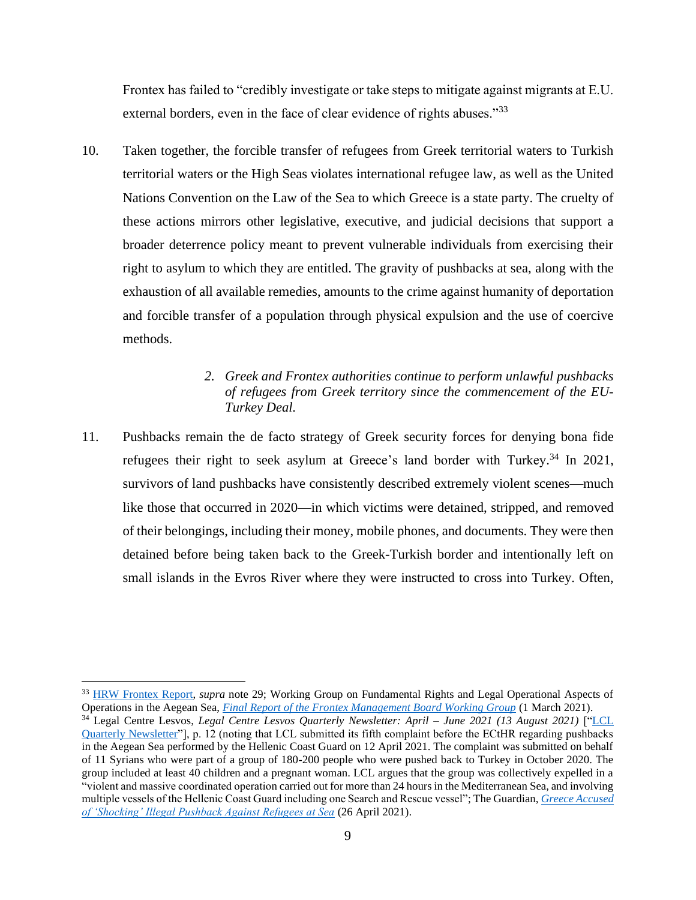Frontex has failed to "credibly investigate or take steps to mitigate against migrants at E.U. external borders, even in the face of clear evidence of rights abuses."<sup>33</sup>

10. Taken together, the forcible transfer of refugees from Greek territorial waters to Turkish territorial waters or the High Seas violates international refugee law, as well as the United Nations Convention on the Law of the Sea to which Greece is a state party. The cruelty of these actions mirrors other legislative, executive, and judicial decisions that support a broader deterrence policy meant to prevent vulnerable individuals from exercising their right to asylum to which they are entitled. The gravity of pushbacks at sea, along with the exhaustion of all available remedies, amounts to the crime against humanity of deportation and forcible transfer of a population through physical expulsion and the use of coercive methods.

# *2. Greek and Frontex authorities continue to perform unlawful pushbacks of refugees from Greek territory since the commencement of the EU-Turkey Deal.*

<span id="page-9-0"></span>11. Pushbacks remain the de facto strategy of Greek security forces for denying bona fide refugees their right to seek asylum at Greece's land border with Turkey.<sup>34</sup> In 2021, survivors of land pushbacks have consistently described extremely violent scenes—much like those that occurred in 2020—in which victims were detained, stripped, and removed of their belongings, including their money, mobile phones, and documents. They were then detained before being taken back to the Greek-Turkish border and intentionally left on small islands in the Evros River where they were instructed to cross into Turkey. Often,

<sup>33</sup> [HRW Frontex Report,](https://www.hrw.org/news/2021/06/23/frontex-failing-protect-people-eu-borders) *supra* note 29; Working Group on Fundamental Rights and Legal Operational Aspects of Operations in the Aegean Sea, *[Final Report of the Frontex Management Board Working Group](https://frontex.europa.eu/assets/Key_Documents/MB_Documents/Agenda_Point_WG_FRaLO_final_report.pdf)* (1 March 2021).

<sup>34</sup> Legal Centre Lesvos, *Legal Centre Lesvos Quarterly Newsletter: April – June 2021 (13 August 2021)* [["LCL](http://legalcentrelesvos.org/wp-content/uploads/2021/08/LCL-Quarterly-Newsletter-April-–-June-2021.pdf)  [Quarterly Newsletter"](http://legalcentrelesvos.org/wp-content/uploads/2021/08/LCL-Quarterly-Newsletter-April-–-June-2021.pdf)], p. 12 (noting that LCL submitted its fifth complaint before the ECtHR regarding pushbacks in the Aegean Sea performed by the Hellenic Coast Guard on 12 April 2021. The complaint was submitted on behalf of 11 Syrians who were part of a group of 180-200 people who were pushed back to Turkey in October 2020. The group included at least 40 children and a pregnant woman. LCL argues that the group was collectively expelled in a "violent and massive coordinated operation carried out for more than 24 hours in the Mediterranean Sea, and involving multiple vessels of the Hellenic Coast Guard including one Search and Rescue vessel"; The Guardian, *[Greece Accused](https://www.theguardian.com/world/2021/apr/26/greece-accused-of-shocking-pushback-against-refugees-at-sea)  [of 'Shocking' Illegal Pushback Against Refugees at Sea](https://www.theguardian.com/world/2021/apr/26/greece-accused-of-shocking-pushback-against-refugees-at-sea)* (26 April 2021).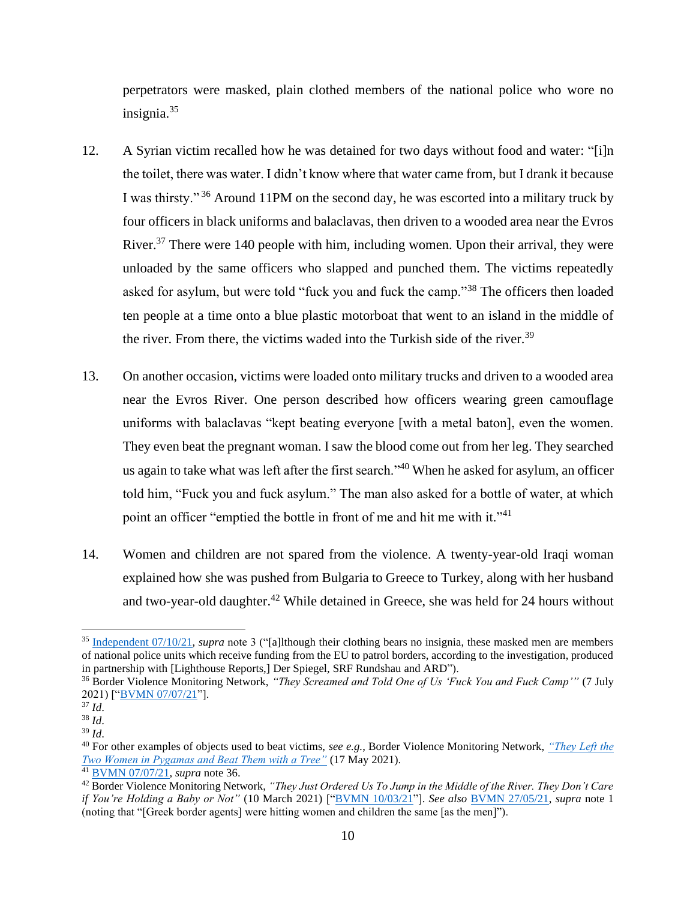perpetrators were masked, plain clothed members of the national police who wore no insignia.<sup>35</sup>

- 12. A Syrian victim recalled how he was detained for two days without food and water: "[i]n the toilet, there was water. I didn't know where that water came from, but I drank it because I was thirsty."<sup>36</sup> Around 11PM on the second day, he was escorted into a military truck by four officers in black uniforms and balaclavas, then driven to a wooded area near the Evros River.<sup>37</sup> There were 140 people with him, including women. Upon their arrival, they were unloaded by the same officers who slapped and punched them. The victims repeatedly asked for asylum, but were told "fuck you and fuck the camp."<sup>38</sup> The officers then loaded ten people at a time onto a blue plastic motorboat that went to an island in the middle of the river. From there, the victims waded into the Turkish side of the river.<sup>39</sup>
- 13. On another occasion, victims were loaded onto military trucks and driven to a wooded area near the Evros River. One person described how officers wearing green camouflage uniforms with balaclavas "kept beating everyone [with a metal baton], even the women. They even beat the pregnant woman. I saw the blood come out from her leg. They searched us again to take what was left after the first search."<sup>40</sup> When he asked for asylum, an officer told him, "Fuck you and fuck asylum." The man also asked for a bottle of water, at which point an officer "emptied the bottle in front of me and hit me with it."<sup>41</sup>
- 14. Women and children are not spared from the violence. A twenty-year-old Iraqi woman explained how she was pushed from Bulgaria to Greece to Turkey, along with her husband and two-year-old daughter.<sup>42</sup> While detained in Greece, she was held for 24 hours without

<sup>35</sup> [Independent 07/10/21,](https://www.independent.co.uk/news/world/europe/eu-migrants-pushback-asylum-illegal-b1933519.html) *supra* note 3 ("[a]lthough their clothing bears no insignia, these masked men are members of national police units which receive funding from the EU to patrol borders, according to the investigation, produced in partnership with [Lighthouse Reports,] Der Spiegel, SRF Rundshau and ARD").

<sup>36</sup> Border Violence Monitoring Network, *"They Screamed and Told One of Us 'Fuck You and Fuck Camp'"* (7 July 2021) [["BVMN 07/07/21"](https://www.borderviolence.eu/violence-reports/july-7-2021-0000-lagyna/)].

<sup>37</sup> *Id*.

<sup>38</sup> *Id*.

<sup>39</sup> *Id*.

<sup>40</sup> For other examples of objects used to beat victims, *see e.g.*, Border Violence Monitoring Network, *["They Left the](https://www.borderviolence.eu/violence-reports/may-17-2021-0000-dilofos-kapikule/)  [Two Women in Pygamas and Beat Them with a Tree"](https://www.borderviolence.eu/violence-reports/may-17-2021-0000-dilofos-kapikule/)* (17 May 2021).

<sup>41</sup> [BVMN 07/07/21,](https://www.borderviolence.eu/violence-reports/july-7-2021-0000-lagyna/) *supra* note 36.

<sup>42</sup> Border Violence Monitoring Network, *"They Just Ordered Us To Jump in the Middle of the River. They Don't Care if You're Holding a Baby or Not"* (10 March 2021) [["BVMN 10/03/21"](https://www.borderviolence.eu/violence-reports/march-10-2021-0000-lavara-karayusuflu-3/)]. *See also* [BVMN 27/05/21,](https://www.borderviolence.eu/violence-reports/may-27-2021-0000-poros-feres-near-to-perifereiaki-zoni-parkou/) *supra* note 1 (noting that "[Greek border agents] were hitting women and children the same [as the men]").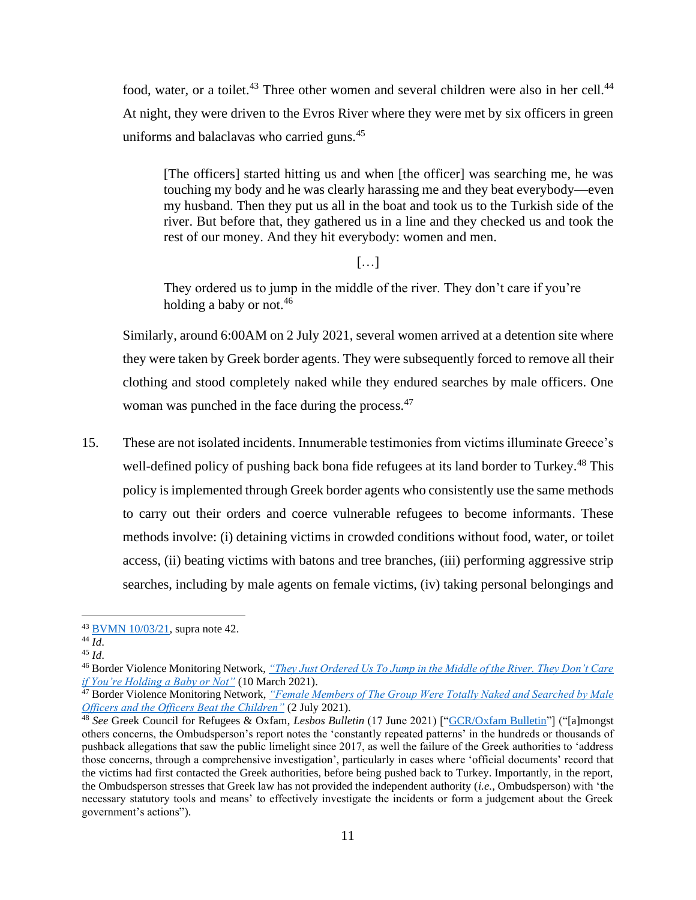food, water, or a toilet.<sup>43</sup> Three other women and several children were also in her cell.<sup>44</sup> At night, they were driven to the Evros River where they were met by six officers in green uniforms and balaclavas who carried guns.<sup>45</sup>

[The officers] started hitting us and when [the officer] was searching me, he was touching my body and he was clearly harassing me and they beat everybody—even my husband. Then they put us all in the boat and took us to the Turkish side of the river. But before that, they gathered us in a line and they checked us and took the rest of our money. And they hit everybody: women and men.

[…]

They ordered us to jump in the middle of the river. They don't care if you're holding a baby or not.<sup>46</sup>

Similarly, around 6:00AM on 2 July 2021, several women arrived at a detention site where they were taken by Greek border agents. They were subsequently forced to remove all their clothing and stood completely naked while they endured searches by male officers. One woman was punched in the face during the process.<sup>47</sup>

15. These are not isolated incidents. Innumerable testimonies from victims illuminate Greece's well-defined policy of pushing back bona fide refugees at its land border to Turkey.<sup>48</sup> This policy is implemented through Greek border agents who consistently use the same methods to carry out their orders and coerce vulnerable refugees to become informants. These methods involve: (i) detaining victims in crowded conditions without food, water, or toilet access, (ii) beating victims with batons and tree branches, (iii) performing aggressive strip searches, including by male agents on female victims, (iv) taking personal belongings and

<sup>43</sup> [BVMN 10/03/21,](https://www.borderviolence.eu/violence-reports/march-10-2021-0000-lavara-karayusuflu-3/) supra note 42.

 $44 \overline{Id}$ .

<sup>45</sup> *Id*.

<sup>46</sup> Border Violence Monitoring Network, *["They Just Ordered Us To Jump in the Middle of the River. They Don't Care](https://www.borderviolence.eu/violence-reports/march-10-2021-0000-lavara-karayusuflu-3/)  [if You're Holding a Baby or Not"](https://www.borderviolence.eu/violence-reports/march-10-2021-0000-lavara-karayusuflu-3/)* (10 March 2021).

<sup>47</sup> Border Violence Monitoring Network, *["Female Members of The Group Were Totally Naked and Searched by Male](https://www.borderviolence.eu/violence-reports/july-2-2021-0000-mikrochori-kerimtecisalih/)  [Officers and the Officers Beat the Children"](https://www.borderviolence.eu/violence-reports/july-2-2021-0000-mikrochori-kerimtecisalih/)* (2 July 2021).

<sup>48</sup> *See* Greek Council for Refugees & Oxfam, *Lesbos Bulletin* (17 June 2021) [["GCR/Oxfam Bulletin"](https://oi-files-d8-prod.s3.eu-west-2.amazonaws.com/s3fs-public/2021-06/June%20Lesbos%20Bulletin%20FINAL%20AND%20SIGNEDOFF%20%281%29%20%281%29.pdf)] ("[a]mongst others concerns, the Ombudsperson's report notes the 'constantly repeated patterns' in the hundreds or thousands of pushback allegations that saw the public limelight since 2017, as well the failure of the Greek authorities to 'address those concerns, through a comprehensive investigation', particularly in cases where 'official documents' record that the victims had first contacted the Greek authorities, before being pushed back to Turkey. Importantly, in the report, the Ombudsperson stresses that Greek law has not provided the independent authority (*i.e.,* Ombudsperson) with 'the necessary statutory tools and means' to effectively investigate the incidents or form a judgement about the Greek government's actions").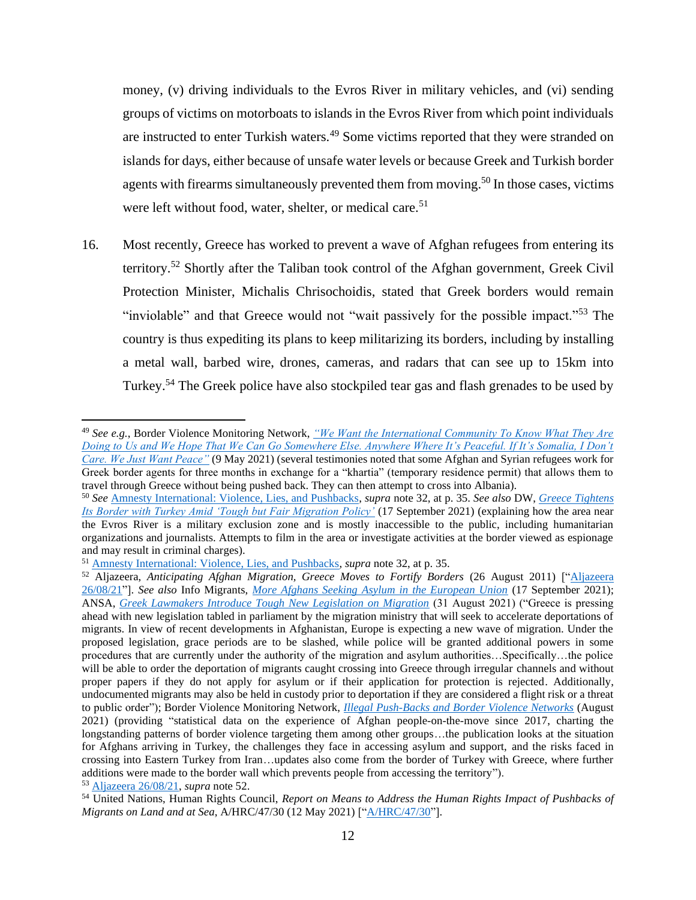money, (v) driving individuals to the Evros River in military vehicles, and (vi) sending groups of victims on motorboats to islands in the Evros River from which point individuals are instructed to enter Turkish waters.<sup>49</sup> Some victims reported that they were stranded on islands for days, either because of unsafe water levels or because Greek and Turkish border agents with firearms simultaneously prevented them from moving.<sup>50</sup> In those cases, victims were left without food, water, shelter, or medical care.<sup>51</sup>

16. Most recently, Greece has worked to prevent a wave of Afghan refugees from entering its territory.<sup>52</sup> Shortly after the Taliban took control of the Afghan government, Greek Civil Protection Minister, Michalis Chrisochoidis, stated that Greek borders would remain "inviolable" and that Greece would not "wait passively for the possible impact."<sup>53</sup> The country is thus expediting its plans to keep militarizing its borders, including by installing a metal wall, barbed wire, drones, cameras, and radars that can see up to 15km into Turkey.<sup>54</sup> The Greek police have also stockpiled tear gas and flash grenades to be used by

<sup>49</sup> *See e.g.*, Border Violence Monitoring Network, *["We Want the International Community To Know What They Are](https://www.borderviolence.eu/violence-reports/may-9-2021-2030-tychero-saricaali/)  [Doing to Us and We Hope That We Can Go Somewhere Else. Anywhere Where It's Peaceful. If It's Somalia, I Don't](https://www.borderviolence.eu/violence-reports/may-9-2021-2030-tychero-saricaali/)  [Care. We Just Want Peace"](https://www.borderviolence.eu/violence-reports/may-9-2021-2030-tychero-saricaali/)* (9 May 2021) (several testimonies noted that some Afghan and Syrian refugees work for Greek border agents for three months in exchange for a "khartia" (temporary residence permit) that allows them to travel through Greece without being pushed back. They can then attempt to cross into Albania).

<sup>50</sup> *See* [Amnesty International: Violence, Lies, and Pushbacks,](https://www.amnesty.org/en/documents/eur25/4307/2021/en/) *supra* note 32, at p. 35. *See also* DW, *[Greece Tightens](https://www.dw.com/en/greece-tightens-its-border-with-turkey-amid-tough-but-fair-migration-policy/a-59209772)  [Its Border with Turkey Amid 'Tough but Fair Migration Policy'](https://www.dw.com/en/greece-tightens-its-border-with-turkey-amid-tough-but-fair-migration-policy/a-59209772)* (17 September 2021) (explaining how the area near the Evros River is a military exclusion zone and is mostly inaccessible to the public, including humanitarian organizations and journalists. Attempts to film in the area or investigate activities at the border viewed as espionage and may result in criminal charges).

<sup>51</sup> [Amnesty International: Violence, Lies, and Pushbacks,](https://www.amnesty.org/en/documents/eur25/4307/2021/en/) *supra* note 32, at p. 35.

<sup>52</sup> Aljazeera, *Anticipating Afghan Migration, Greece Moves to Fortify Borders* (26 August 2011) [["Aljazeera](https://www.aljazeera.com/news/2021/8/26/in-anticipation-of-afghan-migrant-wave-greece-jumps-into-action)  [26/08/21"](https://www.aljazeera.com/news/2021/8/26/in-anticipation-of-afghan-migrant-wave-greece-jumps-into-action)]. *See also* Info Migrants, *[More Afghans Seeking Asylum in the European Union](https://www.infomigrants.net/en/post/35125/more-afghans-seeking-asylum-in-the-european-union)* (17 September 2021); ANSA, *[Greek Lawmakers Introduce Tough New Legislation on Migration](https://www.infomigrants.net/en/post/34718/greek-lawmakers-introduce-tough-new-legislation-on-migration)* (31 August 2021) ("Greece is pressing ahead with new legislation tabled in parliament by the migration ministry that will seek to accelerate deportations of migrants. In view of recent developments in Afghanistan, Europe is expecting a new wave of migration. Under the proposed legislation, grace periods are to be slashed, while police will be granted additional powers in some procedures that are currently under the authority of the migration and asylum authorities…Specifically…the police will be able to order the deportation of migrants caught crossing into Greece through irregular channels and without proper papers if they do not apply for asylum or if their application for protection is rejected. Additionally, undocumented migrants may also be held in custody prior to deportation if they are considered a flight risk or a threat to public order"); Border Violence Monitoring Network, *[Illegal Push-Backs and Border Violence Networks](https://www.borderviolence.eu/wp-content/uploads/BVMN-August-2021-Report.pdf)* (August 2021) (providing "statistical data on the experience of Afghan people-on-the-move since 2017, charting the longstanding patterns of border violence targeting them among other groups…the publication looks at the situation for Afghans arriving in Turkey, the challenges they face in accessing asylum and support, and the risks faced in crossing into Eastern Turkey from Iran…updates also come from the border of Turkey with Greece, where further additions were made to the border wall which prevents people from accessing the territory").

<sup>53</sup> [Aljazeera 26/08/21,](https://www.aljazeera.com/news/2021/8/26/in-anticipation-of-afghan-migrant-wave-greece-jumps-into-action) *supra* note 52.

<sup>54</sup> United Nations, Human Rights Council, *Report on Means to Address the Human Rights Impact of Pushbacks of Migrants on Land and at Sea, A/HRC/47/30 (12 May 2021) [["A/HRC/47/30"](https://documents-dds-ny.un.org/doc/UNDOC/GEN/G21/106/33/PDF/G2110633.pdf?OpenElement)].*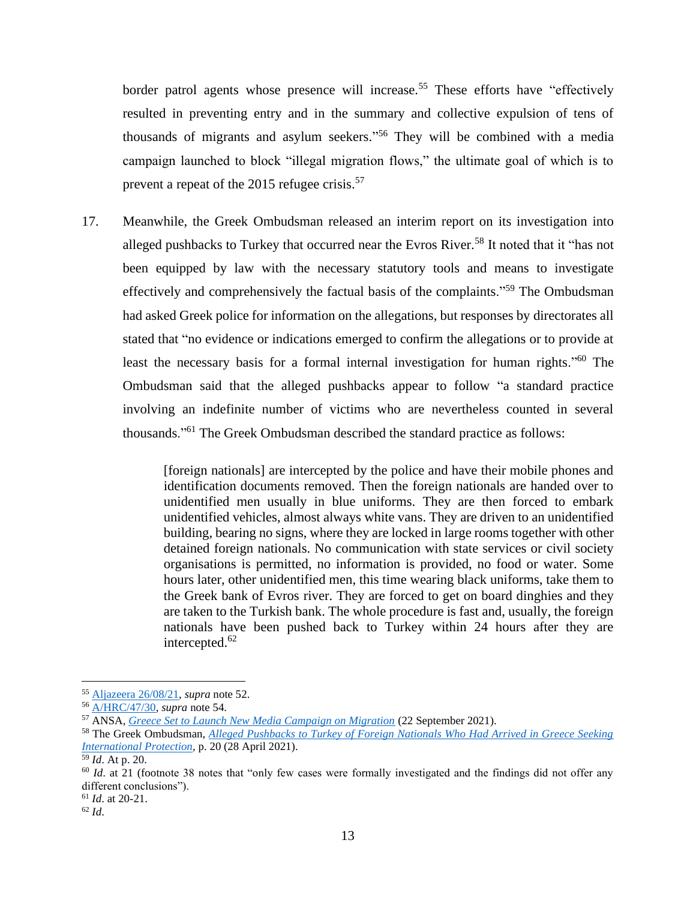border patrol agents whose presence will increase.<sup>55</sup> These efforts have "effectively resulted in preventing entry and in the summary and collective expulsion of tens of thousands of migrants and asylum seekers." <sup>56</sup> They will be combined with a media campaign launched to block "illegal migration flows," the ultimate goal of which is to prevent a repeat of the 2015 refugee crisis.<sup>57</sup>

17. Meanwhile, the Greek Ombudsman released an interim report on its investigation into alleged pushbacks to Turkey that occurred near the Evros River.<sup>58</sup> It noted that it "has not been equipped by law with the necessary statutory tools and means to investigate effectively and comprehensively the factual basis of the complaints."<sup>59</sup> The Ombudsman had asked Greek police for information on the allegations, but responses by directorates all stated that "no evidence or indications emerged to confirm the allegations or to provide at least the necessary basis for a formal internal investigation for human rights."<sup>60</sup> The Ombudsman said that the alleged pushbacks appear to follow "a standard practice involving an indefinite number of victims who are nevertheless counted in several thousands."<sup>61</sup> The Greek Ombudsman described the standard practice as follows:

> [foreign nationals] are intercepted by the police and have their mobile phones and identification documents removed. Then the foreign nationals are handed over to unidentified men usually in blue uniforms. They are then forced to embark unidentified vehicles, almost always white vans. They are driven to an unidentified building, bearing no signs, where they are locked in large rooms together with other detained foreign nationals. No communication with state services or civil society organisations is permitted, no information is provided, no food or water. Some hours later, other unidentified men, this time wearing black uniforms, take them to the Greek bank of Evros river. They are forced to get on board dinghies and they are taken to the Turkish bank. The whole procedure is fast and, usually, the foreign nationals have been pushed back to Turkey within 24 hours after they are intercepted. 62

<sup>55</sup> [Aljazeera 26/08/21,](https://www.aljazeera.com/news/2021/8/26/in-anticipation-of-afghan-migrant-wave-greece-jumps-into-action) *supra* note 52.

<sup>56</sup> [A/HRC/47/30,](https://documents-dds-ny.un.org/doc/UNDOC/GEN/G21/106/33/PDF/G2110633.pdf?OpenElement) *supra* note 54.

<sup>57</sup> ANSA, *[Greece Set to Launch New Media Campaign on Migration](https://www.infomigrants.net/en/post/35209/greece-set-to-launch-new-media-campaign-on-migration)* (22 September 2021).

<sup>58</sup> The Greek Ombudsman, *[Alleged Pushbacks to Turkey of Foreign Nationals Who Had Arrived in Greece Seeking](https://www.synigoros.gr/resources/060521-pushbacks-interim-report_eng.pdf)  [International Protection](https://www.synigoros.gr/resources/060521-pushbacks-interim-report_eng.pdf)*, p. 20 (28 April 2021).

<sup>59</sup> *Id*. At p. 20.

<sup>&</sup>lt;sup>60</sup> *Id.* at 21 (footnote 38 notes that "only few cases were formally investigated and the findings did not offer any different conclusions").

<sup>61</sup> *Id*. at 20-21.

<sup>62</sup> *Id*.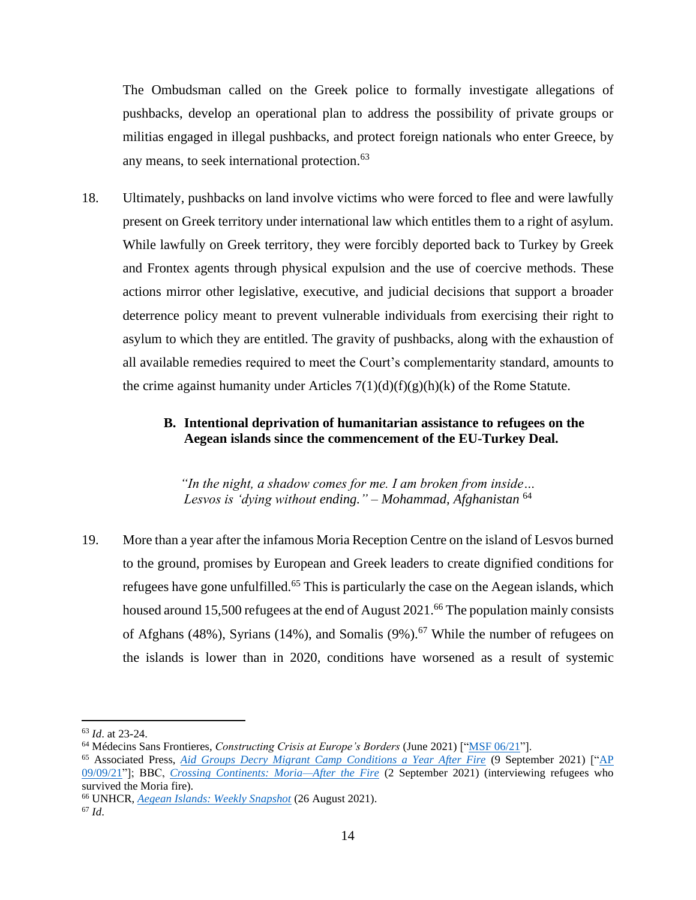The Ombudsman called on the Greek police to formally investigate allegations of pushbacks, develop an operational plan to address the possibility of private groups or militias engaged in illegal pushbacks, and protect foreign nationals who enter Greece, by any means, to seek international protection. 63

18. Ultimately, pushbacks on land involve victims who were forced to flee and were lawfully present on Greek territory under international law which entitles them to a right of asylum. While lawfully on Greek territory, they were forcibly deported back to Turkey by Greek and Frontex agents through physical expulsion and the use of coercive methods. These actions mirror other legislative, executive, and judicial decisions that support a broader deterrence policy meant to prevent vulnerable individuals from exercising their right to asylum to which they are entitled. The gravity of pushbacks, along with the exhaustion of all available remedies required to meet the Court's complementarity standard, amounts to the crime against humanity under Articles  $7(1)(d)(f)(g)(h)(k)$  of the Rome Statute.

# <span id="page-14-0"></span>**B. Intentional deprivation of humanitarian assistance to refugees on the Aegean islands since the commencement of the EU-Turkey Deal.**

*"In the night, a shadow comes for me. I am broken from inside… Lesvos is 'dying without ending." – Mohammad, Afghanistan* <sup>64</sup>

19. More than a year after the infamous Moria Reception Centre on the island of Lesvos burned to the ground, promises by European and Greek leaders to create dignified conditions for refugees have gone unfulfilled.<sup>65</sup> This is particularly the case on the Aegean islands, which housed around 15,500 refugees at the end of August 2021.<sup>66</sup> The population mainly consists of Afghans (48%), Syrians (14%), and Somalis (9%).<sup>67</sup> While the number of refugees on the islands is lower than in 2020, conditions have worsened as a result of systemic

<sup>63</sup> *Id*. at 23-24.

<sup>64</sup> Médecins Sans Frontieres, *Constructing Crisis at Europe's Borders* (June 2021) [["MSF 06/21"](https://www.msf.ch/sites/default/files/2021-06/20210610_rep_greece_hotspot.pdf)].

<sup>65</sup> Associated Press, *[Aid Groups Decry Migrant Camp Conditions a Year After Fire](https://apnews.com/article/europe-middle-east-fires-greece-migration-9eaae26f819998065aa68b56125352db)* (9 September 2021) [["AP](https://apnews.com/article/europe-middle-east-fires-greece-migration-9eaae26f819998065aa68b56125352db)  [09/09/21"](https://apnews.com/article/europe-middle-east-fires-greece-migration-9eaae26f819998065aa68b56125352db)]; BBC, *[Crossing Continents: Moria—After the Fire](https://www.bbc.co.uk/sounds/play/m000z6ww)* (2 September 2021) (interviewing refugees who survived the Moria fire).

<sup>66</sup> UNHCR, *[Aegean Islands: Weekly Snapshot](https://data2.unhcr.org/en/documents/details/88363)* (26 August 2021). <sup>67</sup> *Id*.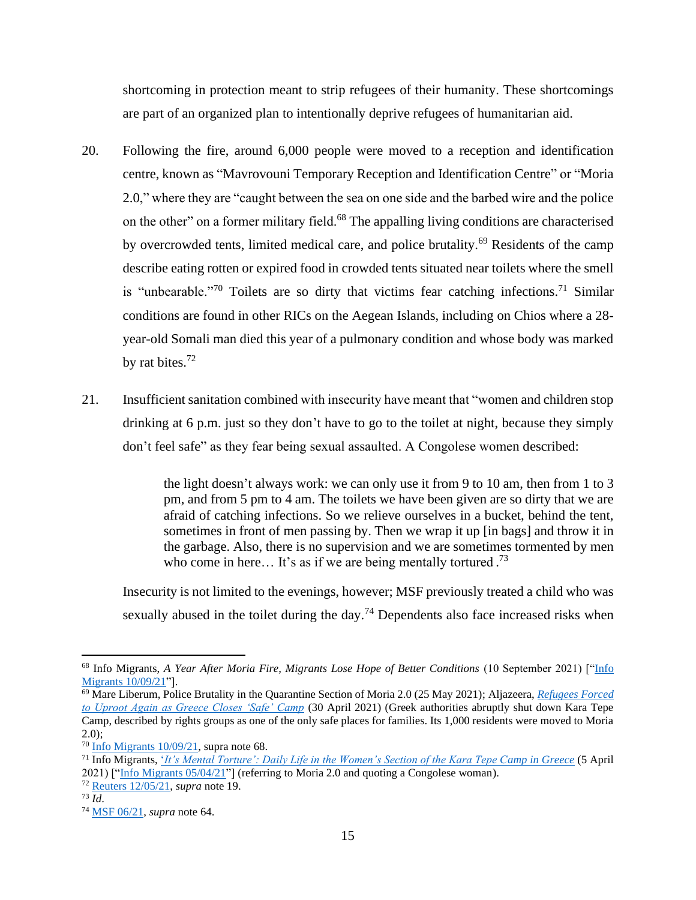shortcoming in protection meant to strip refugees of their humanity. These shortcomings are part of an organized plan to intentionally deprive refugees of humanitarian aid.

- 20. Following the fire, around 6,000 people were moved to a reception and identification centre, known as "Mavrovouni Temporary Reception and Identification Centre" or "Moria 2.0," where they are "caught between the sea on one side and the barbed wire and the police on the other" on a former military field.<sup>68</sup> The appalling living conditions are characterised by overcrowded tents, limited medical care, and police brutality.<sup>69</sup> Residents of the camp describe eating rotten or expired food in crowded tents situated near toilets where the smell is "unbearable."<sup>70</sup> Toilets are so dirty that victims fear catching infections.<sup>71</sup> Similar conditions are found in other RICs on the Aegean Islands, including on Chios where a 28 year-old Somali man died this year of a pulmonary condition and whose body was marked by rat bites. $72$
- 21. Insufficient sanitation combined with insecurity have meant that "women and children stop drinking at 6 p.m. just so they don't have to go to the toilet at night, because they simply don't feel safe" as they fear being sexual assaulted. A Congolese women described:

the light doesn't always work: we can only use it from 9 to 10 am, then from 1 to 3 pm, and from 5 pm to 4 am. The toilets we have been given are so dirty that we are afraid of catching infections. So we relieve ourselves in a bucket, behind the tent, sometimes in front of men passing by. Then we wrap it up [in bags] and throw it in the garbage. Also, there is no supervision and we are sometimes tormented by men who come in here... It's as if we are being mentally tortured.<sup>73</sup>

Insecurity is not limited to the evenings, however; MSF previously treated a child who was sexually abused in the toilet during the day.<sup>74</sup> Dependents also face increased risks when

<sup>&</sup>lt;sup>68</sup> Info Migrants, *A Year After Moria Fire, Migrants Lose Hope of Better Conditions* (10 September 2021) ["Info [Migrants 10/09/21"](https://www.infomigrants.net/en/post/34965/a-year-after-the-moria-fire-migrants-lose-hope-of-better-conditions)].

<sup>69</sup> Mare Liberum, Police Brutality in the Quarantine Section of Moria 2.0 (25 May 2021); Aljazeera, *[Refugees Forced](https://www.aljazeera.com/news/2021/4/30/refugees-forced-to-uproot-again-as-greece-closes-safe-camp)  [to Uproot Again as Greece Closes 'Safe' Camp](https://www.aljazeera.com/news/2021/4/30/refugees-forced-to-uproot-again-as-greece-closes-safe-camp)* (30 April 2021) (Greek authorities abruptly shut down Kara Tepe Camp, described by rights groups as one of the only safe places for families. Its 1,000 residents were moved to Moria  $2.0$ :

 $70$  Info Migrants  $10/09/21$ , supra note 68.

<sup>71</sup> Info Migrants, '*[It's Mental Torture': Daily Life in the Women's Section of the Kara Tepe Camp in Greece](https://www.infomigrants.net/en/post/30983/its-mental-torture-daily-life-in-the-womens-section-of-the-kara-tepe-camp-in-greece)* (5 April 2021) [["Info Migrants 05/04/21"](https://www.infomigrants.net/en/post/30983/its-mental-torture-daily-life-in-the-womens-section-of-the-kara-tepe-camp-in-greece)] (referring to Moria 2.0 and quoting a Congolese woman).

<sup>72</sup> [Reuters 12/05/21,](https://www.reuters.com/world/europe/council-europe-accuses-greece-migrant-pushbacks-says-they-must-stop-2021-05-12/) *supra* note 19.

<sup>73</sup> *Id*.

<sup>74</sup> [MSF 06/21,](https://www.msf.ch/sites/default/files/2021-06/20210610_rep_greece_hotspot.pdf) *supra* note 64.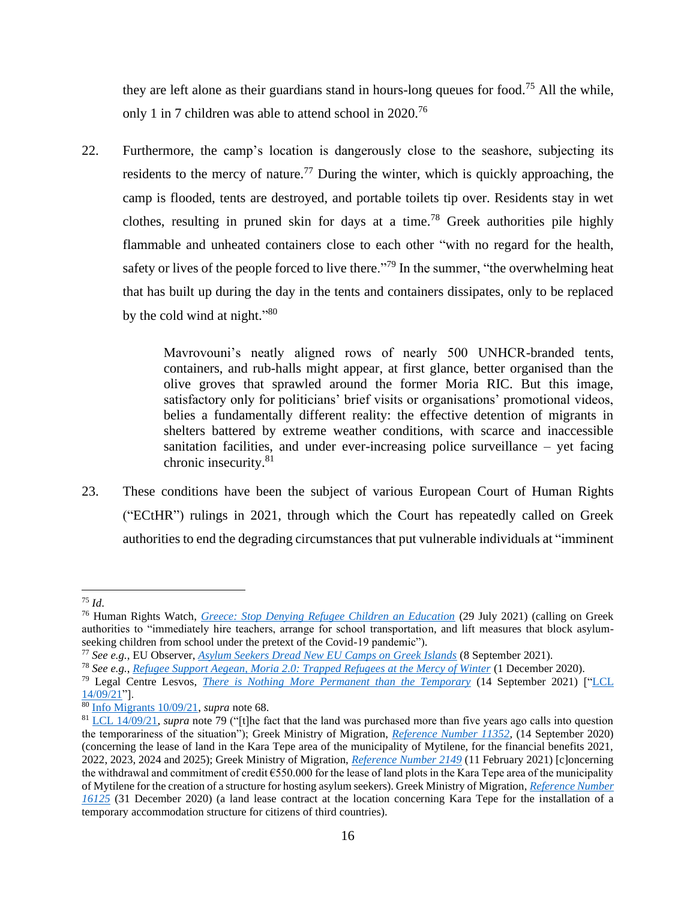they are left alone as their guardians stand in hours-long queues for food.<sup>75</sup> All the while, only 1 in 7 children was able to attend school in 2020.<sup>76</sup>

22. Furthermore, the camp's location is dangerously close to the seashore, subjecting its residents to the mercy of nature.<sup>77</sup> During the winter, which is quickly approaching, the camp is flooded, tents are destroyed, and portable toilets tip over. Residents stay in wet clothes, resulting in pruned skin for days at a time.<sup>78</sup> Greek authorities pile highly flammable and unheated containers close to each other "with no regard for the health, safety or lives of the people forced to live there."<sup>79</sup> In the summer, "the overwhelming heat that has built up during the day in the tents and containers dissipates, only to be replaced by the cold wind at night."<sup>80</sup>

> Mavrovouni's neatly aligned rows of nearly 500 UNHCR-branded tents, containers, and rub-halls might appear, at first glance, better organised than the olive groves that sprawled around the former Moria RIC. But this image, satisfactory only for politicians' brief visits or organisations' promotional videos, belies a fundamentally different reality: the effective detention of migrants in shelters battered by extreme weather conditions, with scarce and inaccessible sanitation facilities, and under ever-increasing police surveillance – yet facing chronic insecurity.<sup>81</sup>

23. These conditions have been the subject of various European Court of Human Rights ("ECtHR") rulings in 2021, through which the Court has repeatedly called on Greek authorities to end the degrading circumstances that put vulnerable individuals at "imminent

<sup>75</sup> *Id*.

<sup>76</sup> Human Rights Watch, *[Greece: Stop Denying Refugee Children an Education](https://www.hrw.org/news/2021/07/29/greece-stop-denying-refugee-children-education)* (29 July 2021) (calling on Greek authorities to "immediately hire teachers, arrange for school transportation, and lift measures that block asylumseeking children from school under the pretext of the Covid-19 pandemic").

<sup>77</sup> *See e.g.*, EU Observer, *[Asylum Seekers Dread New EU Camps on Greek Islands](https://euobserver.com/migration/152845)* (8 September 2021).

<sup>78</sup> *See e.g.*, *[Refugee Support Aegean, Moria 2.0: Trapped Refugees at the Mercy of Winter](https://rsaegean.org/en/moria-2-0-trapped-refugees-at-the-mercy-of-winter/)* (1 December 2020).

<sup>79</sup> Legal Centre Lesvos, *[There is Nothing More Permanent than the Temporary](https://legalcentrelesvos.org/2021/09/14/one-year-of-mavrovouni-camp/)* (14 September 2021) [["LCL](https://legalcentrelesvos.org/2021/09/14/one-year-of-mavrovouni-camp/)  [14/09/21"](https://legalcentrelesvos.org/2021/09/14/one-year-of-mavrovouni-camp/)].

<sup>80</sup> [Info Migrants 10/09/21,](https://www.infomigrants.net/en/post/34965/a-year-after-the-moria-fire-migrants-lose-hope-of-better-conditions) *supra* note 68.

<sup>&</sup>lt;sup>81</sup> [LCL 14/09/21,](https://legalcentrelesvos.org/2021/09/14/one-year-of-mavrovouni-camp/) *supra* note 79 ("[t]he fact that the land was purchased more than five years ago calls into question the temporariness of the situation"); Greek Ministry of Migration, *[Reference Number 11352](https://sjac.sharepoint.com/sites/Program/Shared%20Documents/Analyses%20and%20Reports/ICC%20Submission/Second%20Submission%20-%20Nov%2021/Pre-Approval%20of%20Multi-Year%20Towing%20Assumption%20in%20the%20Expenditure%20Estimation%20of%20E.F.%201055-203)*, (14 September 2020) (concerning the lease of land in the Kara Tepe area of the municipality of Mytilene, for the financial benefits 2021, 2022, 2023, 2024 and 2025); Greek Ministry of Migration, *[Reference Number 2149](https://diavgeia.gov.gr/doc/ΨΥΡΤ46ΜΔΨΟ-9ΔΙ?inline=true)* (11 February 2021) [c]oncerning the withdrawal and commitment of credit €550.000 for the lease of land plots in the Kara Tepe area of the municipality of Mytilene for the creation of a structure for hosting asylum seekers). Greek Ministry of Migration, *[Reference Number](https://diavgeia.gov.gr/doc/ΩΗΑΝ46ΜΔΨΟ-051?inline=true)  [16125](https://diavgeia.gov.gr/doc/ΩΗΑΝ46ΜΔΨΟ-051?inline=true)* (31 December 2020) (a land lease contract at the location concerning Kara Tepe for the installation of a temporary accommodation structure for citizens of third countries).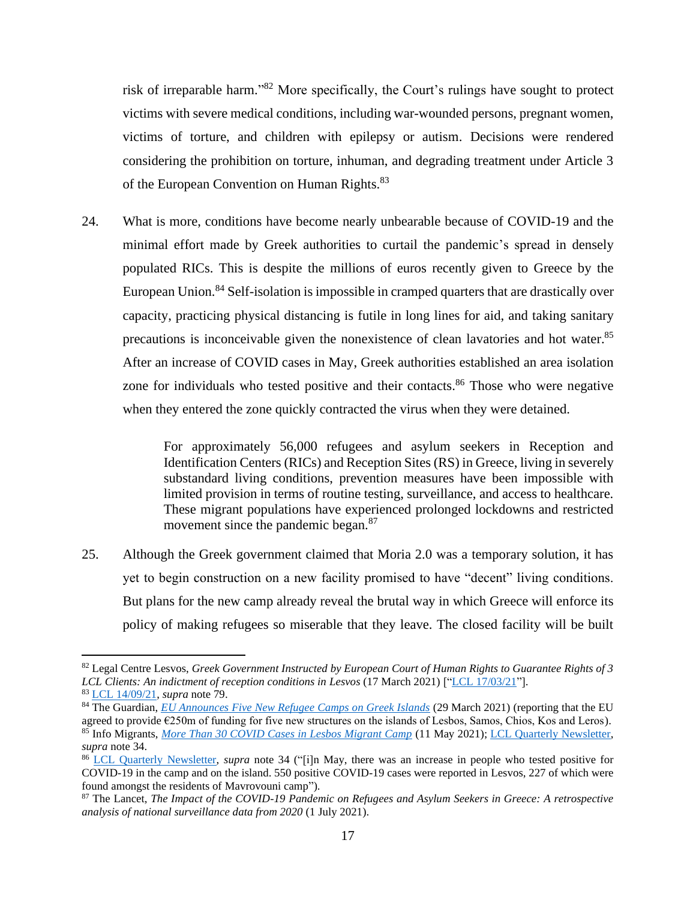risk of irreparable harm."<sup>82</sup> More specifically, the Court's rulings have sought to protect victims with severe medical conditions, including war-wounded persons, pregnant women, victims of torture, and children with epilepsy or autism. Decisions were rendered considering the prohibition on torture, inhuman, and degrading treatment under Article 3 of the European Convention on Human Rights.<sup>83</sup>

24. What is more, conditions have become nearly unbearable because of COVID-19 and the minimal effort made by Greek authorities to curtail the pandemic's spread in densely populated RICs. This is despite the millions of euros recently given to Greece by the European Union.<sup>84</sup> Self-isolation is impossible in cramped quarters that are drastically over capacity, practicing physical distancing is futile in long lines for aid, and taking sanitary precautions is inconceivable given the nonexistence of clean lavatories and hot water.<sup>85</sup> After an increase of COVID cases in May, Greek authorities established an area isolation zone for individuals who tested positive and their contacts.<sup>86</sup> Those who were negative when they entered the zone quickly contracted the virus when they were detained.

> For approximately 56,000 refugees and asylum seekers in Reception and Identification Centers (RICs) and Reception Sites (RS) in Greece, living in severely substandard living conditions, prevention measures have been impossible with limited provision in terms of routine testing, surveillance, and access to healthcare. These migrant populations have experienced prolonged lockdowns and restricted movement since the pandemic began.<sup>87</sup>

25. Although the Greek government claimed that Moria 2.0 was a temporary solution, it has yet to begin construction on a new facility promised to have "decent" living conditions. But plans for the new camp already reveal the brutal way in which Greece will enforce its policy of making refugees so miserable that they leave. The closed facility will be built

<sup>82</sup> Legal Centre Lesvos, *Greek Government Instructed by European Court of Human Rights to Guarantee Rights of 3 LCL Clients: An indictment of reception conditions in Lesvos* (17 March 2021) [["LCL 17/03/21"](https://legalcentrelesvos.org/2021/03/17/greek-government-instructed-by-european-court-of-human-rights-to-guarantee-rights-of-3-lcl-clients-an-indictment-of-reception-conditions-in-lesvos/)]. <sup>83</sup> [LCL 14/09/21,](https://legalcentrelesvos.org/2021/09/14/one-year-of-mavrovouni-camp/) *supra* note 79.

<sup>&</sup>lt;sup>84</sup> The Guardian, *[EU Announces Five New Refugee Camps on Greek Islands](https://www.theguardian.com/global-development/2021/mar/29/eu-announces-funding-for-five-new-refugee-camps-on-greek-islands)* (29 March 2021) (reporting that the EU agreed to provide €250m of funding for five new structures on the islands of Lesbos, Samos, Chios, Kos and Leros). <sup>85</sup> Info Migrants, *[More Than 30 COVID Cases in Lesbos Migrant Camp](https://www.infomigrants.net/en/post/32137/more-than-30-covid-cases-in-lesbos-migrant-camp)* (11 May 2021); [LCL Quarterly Newsletter,](http://legalcentrelesvos.org/wp-content/uploads/2021/08/LCL-Quarterly-Newsletter-April-–-June-2021.pdf) *supra* note 34.

<sup>86</sup> [LCL Quarterly Newsletter,](http://legalcentrelesvos.org/wp-content/uploads/2021/08/LCL-Quarterly-Newsletter-April-–-June-2021.pdf) *supra* note 34 ("[i]n May, there was an increase in people who tested positive for COVID-19 in the camp and on the island. 550 positive COVID-19 cases were reported in Lesvos, 227 of which were found amongst the residents of Mavrovouni camp").

<sup>87</sup> The Lancet, *The Impact of the COVID-19 Pandemic on Refugees and Asylum Seekers in Greece: A retrospective analysis of national surveillance data from 2020* (1 July 2021).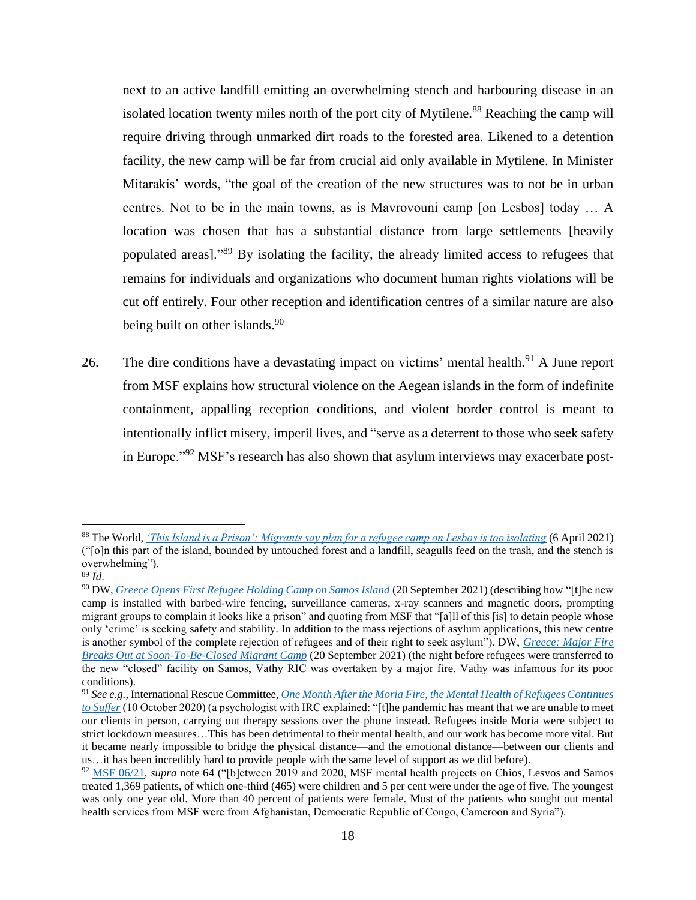next to an active landfill emitting an overwhelming stench and harbouring disease in an isolated location twenty miles north of the port city of Mytilene.<sup>88</sup> Reaching the camp will require driving through unmarked dirt roads to the forested area. Likened to a detention facility, the new camp will be far from crucial aid only available in Mytilene. In Minister Mitarakis' words, "the goal of the creation of the new structures was to not be in urban centres. Not to be in the main towns, as is Mavrovouni camp [on Lesbos] today … A location was chosen that has a substantial distance from large settlements [heavily populated areas]."<sup>89</sup> By isolating the facility, the already limited access to refugees that remains for individuals and organizations who document human rights violations will be cut off entirely. Four other reception and identification centres of a similar nature are also being built on other islands.<sup>90</sup>

26. The dire conditions have a devastating impact on victims' mental health.<sup>91</sup> A June report from MSF explains how structural violence on the Aegean islands in the form of indefinite containment, appalling reception conditions, and violent border control is meant to intentionally inflict misery, imperil lives, and "serve as a deterrent to those who seek safety in Europe."<sup>92</sup> MSF's research has also shown that asylum interviews may exacerbate post-

<sup>88</sup> The World, *['This Island is a Prison': Migrants say plan for a refugee camp on Lesbos is too isolating](https://www.pri.org/stories/2021-04-06/island-prison-migrants-say-plan-refugee-camp-lesbos-too-isolating)* (6 April 2021) ("[o]n this part of the island, bounded by untouched forest and a landfill, seagulls feed on the trash, and the stench is overwhelming").

<sup>89</sup> *Id*.

<sup>90</sup> DW, *[Greece Opens First Refugee Holding Camp on Samos Island](https://www.infomigrants.net/en/post/35152/greece-opens-first-refugee-holding-camp-on-samos-island)* (20 September 2021) (describing how "[t]he new camp is installed with barbed-wire fencing, surveillance cameras, x-ray scanners and magnetic doors, prompting migrant groups to complain it looks like a prison" and quoting from MSF that "[a]ll of this [is] to detain people whose only 'crime' is seeking safety and stability. In addition to the mass rejections of asylum applications, this new centre is another symbol of the complete rejection of refugees and of their right to seek asylum"). DW, *[Greece: Major Fire](https://www.infomigrants.net/en/post/35147/greece-major-fire-breaks-out-at-soontobeclosed-migrant-camp)  [Breaks Out at Soon-To-Be-Closed Migrant Camp](https://www.infomigrants.net/en/post/35147/greece-major-fire-breaks-out-at-soontobeclosed-migrant-camp)* (20 September 2021) (the night before refugees were transferred to the new "closed" facility on Samos, Vathy RIC was overtaken by a major fire. Vathy was infamous for its poor conditions).

<sup>91</sup> *See e.g.*, International Rescue Committee, *[One Month After the Moria Fire, the Mental Health of Refugees Continues](https://www.rescue.org/article/one-month-after-moria-fire-mental-health-refugees-continues-suffer)  [to Suffer](https://www.rescue.org/article/one-month-after-moria-fire-mental-health-refugees-continues-suffer)* (10 October 2020) (a psychologist with IRC explained: "[t]he pandemic has meant that we are unable to meet our clients in person, carrying out therapy sessions over the phone instead. Refugees inside Moria were subject to strict lockdown measures…This has been detrimental to their mental health, and our work has become more vital. But it became nearly impossible to bridge the physical distance—and the emotional distance—between our clients and us…it has been incredibly hard to provide people with the same level of support as we did before).

<sup>&</sup>lt;sup>92</sup> [MSF 06/21,](https://www.msf.ch/sites/default/files/2021-06/20210610_rep_greece_hotspot.pdf) *supra* note 64 ("[b]etween 2019 and 2020, MSF mental health projects on Chios, Lesvos and Samos treated 1,369 patients, of which one-third (465) were children and 5 per cent were under the age of five. The youngest was only one year old. More than 40 percent of patients were female. Most of the patients who sought out mental health services from MSF were from Afghanistan, Democratic Republic of Congo, Cameroon and Syria").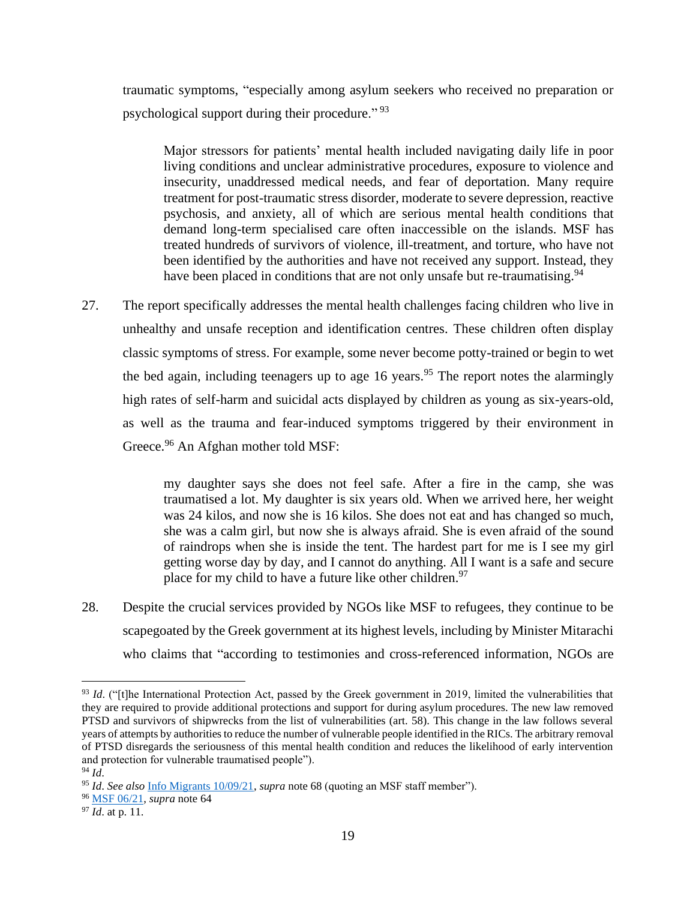traumatic symptoms, "especially among asylum seekers who received no preparation or psychological support during their procedure." <sup>93</sup>

Major stressors for patients' mental health included navigating daily life in poor living conditions and unclear administrative procedures, exposure to violence and insecurity, unaddressed medical needs, and fear of deportation. Many require treatment for post-traumatic stress disorder, moderate to severe depression, reactive psychosis, and anxiety, all of which are serious mental health conditions that demand long-term specialised care often inaccessible on the islands. MSF has treated hundreds of survivors of violence, ill-treatment, and torture, who have not been identified by the authorities and have not received any support. Instead, they have been placed in conditions that are not only unsafe but re-traumatising.<sup>94</sup>

27. The report specifically addresses the mental health challenges facing children who live in unhealthy and unsafe reception and identification centres. These children often display classic symptoms of stress. For example, some never become potty-trained or begin to wet the bed again, including teenagers up to age 16 years.<sup>95</sup> The report notes the alarmingly high rates of self-harm and suicidal acts displayed by children as young as six-years-old, as well as the trauma and fear-induced symptoms triggered by their environment in Greece.<sup>96</sup> An Afghan mother told MSF:

> my daughter says she does not feel safe. After a fire in the camp, she was traumatised a lot. My daughter is six years old. When we arrived here, her weight was 24 kilos, and now she is 16 kilos. She does not eat and has changed so much, she was a calm girl, but now she is always afraid. She is even afraid of the sound of raindrops when she is inside the tent. The hardest part for me is I see my girl getting worse day by day, and I cannot do anything. All I want is a safe and secure place for my child to have a future like other children.<sup>97</sup>

28. Despite the crucial services provided by NGOs like MSF to refugees, they continue to be scapegoated by the Greek government at its highest levels, including by Minister Mitarachi who claims that "according to testimonies and cross-referenced information, NGOs are

<sup>&</sup>lt;sup>93</sup> *Id.* ("[t]he International Protection Act, passed by the Greek government in 2019, limited the vulnerabilities that they are required to provide additional protections and support for during asylum procedures. The new law removed PTSD and survivors of shipwrecks from the list of vulnerabilities (art. 58). This change in the law follows several years of attempts by authorities to reduce the number of vulnerable people identified in the RICs. The arbitrary removal of PTSD disregards the seriousness of this mental health condition and reduces the likelihood of early intervention and protection for vulnerable traumatised people"). <sup>94</sup> *Id*.

<sup>95</sup> *Id*. *See also* [Info Migrants 10/09/21,](https://www.infomigrants.net/en/post/34965/a-year-after-the-moria-fire-migrants-lose-hope-of-better-conditions) *supra* note 68 (quoting an MSF staff member").

<sup>96</sup> [MSF 06/21,](https://www.msf.ch/sites/default/files/2021-06/20210610_rep_greece_hotspot.pdf) *supra* note 64

<sup>97</sup> *Id*. at p. 11.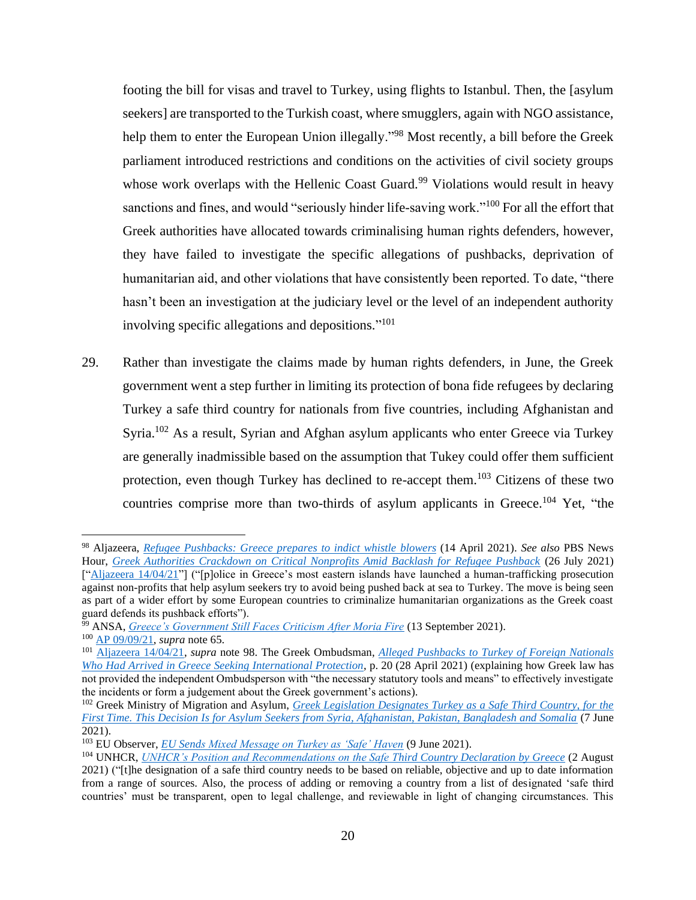footing the bill for visas and travel to Turkey, using flights to Istanbul. Then, the [asylum seekers] are transported to the Turkish coast, where smugglers, again with NGO assistance, help them to enter the European Union illegally."<sup>98</sup> Most recently, a bill before the Greek parliament introduced restrictions and conditions on the activities of civil society groups whose work overlaps with the Hellenic Coast Guard.<sup>99</sup> Violations would result in heavy sanctions and fines, and would "seriously hinder life-saving work."<sup>100</sup> For all the effort that Greek authorities have allocated towards criminalising human rights defenders, however, they have failed to investigate the specific allegations of pushbacks, deprivation of humanitarian aid, and other violations that have consistently been reported. To date, "there hasn't been an investigation at the judiciary level or the level of an independent authority involving specific allegations and depositions." 101

29. Rather than investigate the claims made by human rights defenders, in June, the Greek government went a step further in limiting its protection of bona fide refugees by declaring Turkey a safe third country for nationals from five countries, including Afghanistan and Syria.<sup>102</sup> As a result, Syrian and Afghan asylum applicants who enter Greece via Turkey are generally inadmissible based on the assumption that Tukey could offer them sufficient protection, even though Turkey has declined to re-accept them.<sup>103</sup> Citizens of these two countries comprise more than two-thirds of asylum applicants in Greece.<sup>104</sup> Yet, "the

<sup>98</sup> Aljazeera, *[Refugee Pushbacks: Greece prepares to indict whistle](https://www.aljazeera.com/news/2021/4/14/refugee-pushbacks-greece-prepares-to-indict-whistleblowers) blowers* (14 April 2021). *See also* PBS News Hour, *[Greek Authorities Crackdown on Critical Nonprofits Amid Backlash for Refugee Pushback](https://www.pbs.org/newshour/show/greek-authorities-crackdown-on-critical-nonprofits-amid-backlash-for-refugee-pushback)* (26 July 2021) [["Aljazeera 14/04/21"](https://www.aljazeera.com/news/2021/4/14/refugee-pushbacks-greece-prepares-to-indict-whistleblowers)] ("[p]olice in Greece's most eastern islands have launched a human-trafficking prosecution against non-profits that help asylum seekers try to avoid being pushed back at sea to Turkey. The move is being seen as part of a wider effort by some European countries to criminalize humanitarian organizations as the Greek coast guard defends its pushback efforts").

<sup>99</sup> ANSA, *[Greece's Government Still Faces Criticism After Moria Fire](https://www.infomigrants.net/en/post/35002/greeces-government-still-faces-criticism-after-moria-fire)* (13 September 2021). <sup>100</sup> [AP 09/09/21,](https://apnews.com/article/europe-middle-east-fires-greece-migration-9eaae26f819998065aa68b56125352db) *supra* note 65.

<sup>101</sup> [Aljazeera 14/04/21,](https://www.aljazeera.com/news/2021/4/14/refugee-pushbacks-greece-prepares-to-indict-whistleblowers) *supra* note 98. The Greek Ombudsman, *[Alleged Pushbacks to Turkey of Foreign Nationals](https://www.synigoros.gr/resources/060521-pushbacks-interim-report_eng.pdf)  [Who Had Arrived in Greece Seeking International Protection](https://www.synigoros.gr/resources/060521-pushbacks-interim-report_eng.pdf)*, p. 20 (28 April 2021) (explaining how Greek law has not provided the independent Ombudsperson with "the necessary statutory tools and means" to effectively investigate

the incidents or form a judgement about the Greek government's actions). <sup>102</sup> Greek Ministry of Migration and Asylum, *[Greek Legislation Designates Turkey as a Safe Third Country, for the](https://migration.gov.gr/en/asfali-triti-chora-charaktirizei-gia-proti-fora-i-elliniki-nomothesia-tin-toyrkia-afora-aitoyntes-asylo-apo-syria-afganistan-pakistan-mpagklantes-kai-somalia/)  [First Time. This Decision Is for Asylum Seekers from Syria, Afghanistan, Pakistan, Bangladesh and Somalia](https://migration.gov.gr/en/asfali-triti-chora-charaktirizei-gia-proti-fora-i-elliniki-nomothesia-tin-toyrkia-afora-aitoyntes-asylo-apo-syria-afganistan-pakistan-mpagklantes-kai-somalia/)* (7 June 2021).

<sup>103</sup> EU Observer, *[EU Sends Mixed Message on Turkey as 'Safe' Haven](https://euobserver.com/migration/152092)* (9 June 2021).

<sup>104</sup> UNHCR, *[UNHCR's Position and Recommendations on the Safe Third Country Declaration by Greece](https://www.unhcr.org/gr/en/22885-unhcrs-position-and-recommendations-on-the-safe-third-country-declaration-by-greece.html)* (2 August 2021) ("[t]he designation of a safe third country needs to be based on reliable, objective and up to date information from a range of sources. Also, the process of adding or removing a country from a list of designated 'safe third countries' must be transparent, open to legal challenge, and reviewable in light of changing circumstances. This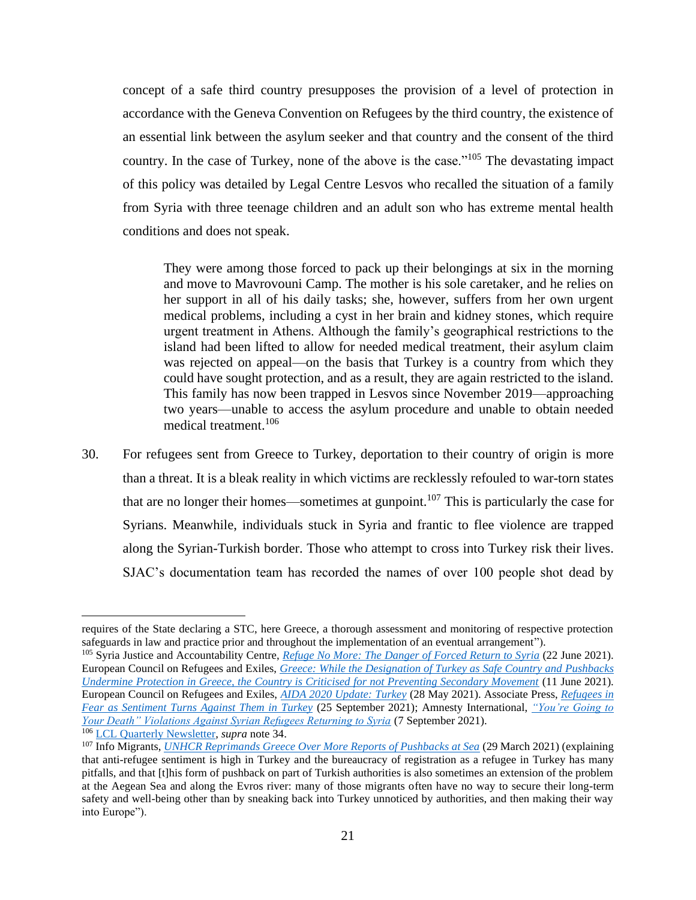concept of a safe third country presupposes the provision of a level of protection in accordance with the Geneva Convention on Refugees by the third country, the existence of an essential link between the asylum seeker and that country and the consent of the third country. In the case of Turkey, none of the above is the case."<sup>105</sup> The devastating impact of this policy was detailed by Legal Centre Lesvos who recalled the situation of a family from Syria with three teenage children and an adult son who has extreme mental health conditions and does not speak.

They were among those forced to pack up their belongings at six in the morning and move to Mavrovouni Camp. The mother is his sole caretaker, and he relies on her support in all of his daily tasks; she, however, suffers from her own urgent medical problems, including a cyst in her brain and kidney stones, which require urgent treatment in Athens. Although the family's geographical restrictions to the island had been lifted to allow for needed medical treatment, their asylum claim was rejected on appeal—on the basis that Turkey is a country from which they could have sought protection, and as a result, they are again restricted to the island. This family has now been trapped in Lesvos since November 2019—approaching two years—unable to access the asylum procedure and unable to obtain needed medical treatment. 106

30. For refugees sent from Greece to Turkey, deportation to their country of origin is more than a threat. It is a bleak reality in which victims are recklessly refouled to war-torn states that are no longer their homes—sometimes at gunpoint.<sup>107</sup> This is particularly the case for Syrians. Meanwhile, individuals stuck in Syria and frantic to flee violence are trapped along the Syrian-Turkish border. Those who attempt to cross into Turkey risk their lives. SJAC's documentation team has recorded the names of over 100 people shot dead by

requires of the State declaring a STC, here Greece, a thorough assessment and monitoring of respective protection safeguards in law and practice prior and throughout the implementation of an eventual arrangement").

<sup>105</sup> Syria Justice and Accountability Centre, *[Refuge No More: The Danger of Forced Return to Syria](https://syriaaccountability.org/library/refuge-no-more/)* (22 June 2021). European Council on Refugees and Exiles, *[Greece: While the Designation of Turkey as Safe Country and Pushbacks](https://ecre.org/greece-while-the-designation-of-turkey-as-safe-country-and-pushbacks-undermine-protection-in-greece-the-country-is-criticised-for-not-preventing-secondary-movement/)  [Undermine Protection in Greece, the Country is Criticised for not Preventing Secondary Movement](https://ecre.org/greece-while-the-designation-of-turkey-as-safe-country-and-pushbacks-undermine-protection-in-greece-the-country-is-criticised-for-not-preventing-secondary-movement/)* (11 June 2021). European Council on Refugees and Exiles, *[AIDA 2020 Update: Turkey](https://ecre.org/aida-2020-update-turkey/)* (28 May 2021). Associate Press, *[Refugees in](https://apnews.com/article/immigration-middle-east-syria-turkey-migration-2dd6e1eb247c5353929df86c8f410a36)  [Fear as Sentiment Turns Against Them in Turkey](https://apnews.com/article/immigration-middle-east-syria-turkey-migration-2dd6e1eb247c5353929df86c8f410a36)* (25 September 2021); Amnesty International, *["You're Going to](https://www.amnesty.org/en/documents/mde24/4583/2021/en/)  [Your Death" Violations Against Syrian Refugees Returning to Syria](https://www.amnesty.org/en/documents/mde24/4583/2021/en/)* (7 September 2021).

<sup>106</sup> [LCL Quarterly Newsletter,](http://legalcentrelesvos.org/wp-content/uploads/2021/08/LCL-Quarterly-Newsletter-April-–-June-2021.pdf) *supra* note 34.

<sup>107</sup> Info Migrants, *[UNHCR Reprimands Greece Over More Reports of Pushbacks at Sea](https://www.infomigrants.net/en/post/31174/unhcr-reprimands-greece-over-more-reports-of-pushbacks-at-sea)* (29 March 2021) (explaining that anti-refugee sentiment is high in Turkey and the bureaucracy of registration as a refugee in Turkey has many pitfalls, and that [t]his form of pushback on part of Turkish authorities is also sometimes an extension of the problem at the Aegean Sea and along the Evros river: many of those migrants often have no way to secure their long-term safety and well-being other than by sneaking back into Turkey unnoticed by authorities, and then making their way into Europe").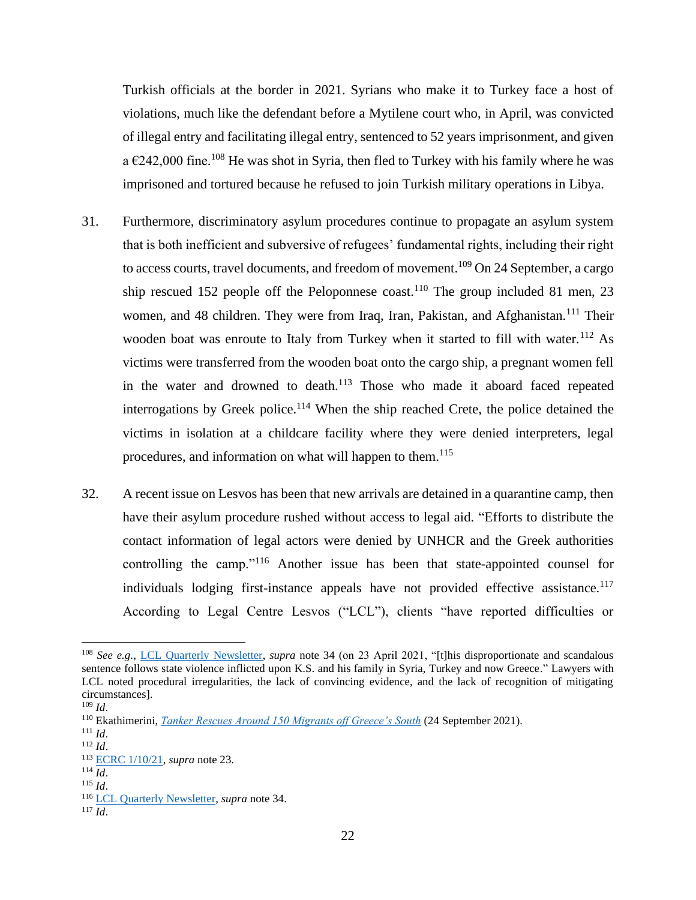Turkish officials at the border in 2021. Syrians who make it to Turkey face a host of violations, much like the defendant before a Mytilene court who, in April, was convicted of illegal entry and facilitating illegal entry, sentenced to 52 years imprisonment, and given a  $\epsilon$ 242,000 fine.<sup>108</sup> He was shot in Syria, then fled to Turkey with his family where he was imprisoned and tortured because he refused to join Turkish military operations in Libya.

- 31. Furthermore, discriminatory asylum procedures continue to propagate an asylum system that is both inefficient and subversive of refugees' fundamental rights, including their right to access courts, travel documents, and freedom of movement.<sup>109</sup> On 24 September, a cargo ship rescued 152 people off the Peloponnese coast.<sup>110</sup> The group included 81 men, 23 women, and 48 children. They were from Iraq, Iran, Pakistan, and Afghanistan.<sup>111</sup> Their wooden boat was enroute to Italy from Turkey when it started to fill with water.<sup>112</sup> As victims were transferred from the wooden boat onto the cargo ship, a pregnant women fell in the water and drowned to death.<sup>113</sup> Those who made it aboard faced repeated interrogations by Greek police. <sup>114</sup> When the ship reached Crete, the police detained the victims in isolation at a childcare facility where they were denied interpreters, legal procedures, and information on what will happen to them. 115
- 32. A recent issue on Lesvos has been that new arrivals are detained in a quarantine camp, then have their asylum procedure rushed without access to legal aid. "Efforts to distribute the contact information of legal actors were denied by UNHCR and the Greek authorities controlling the camp."<sup>116</sup> Another issue has been that state-appointed counsel for individuals lodging first-instance appeals have not provided effective assistance.<sup>117</sup> According to Legal Centre Lesvos ("LCL"), clients "have reported difficulties or

<sup>&</sup>lt;sup>108</sup> *See e.g.*, [LCL Quarterly Newsletter,](http://legalcentrelesvos.org/wp-content/uploads/2021/08/LCL-Quarterly-Newsletter-April-–-June-2021.pdf) *supra* note 34 (on 23 April 2021, "[t]his disproportionate and scandalous sentence follows state violence inflicted upon K.S. and his family in Syria, Turkey and now Greece." Lawyers with LCL noted procedural irregularities, the lack of convincing evidence, and the lack of recognition of mitigating circumstances].

<sup>109</sup> *Id*.

<sup>110</sup> Ekathimerini, *[Tanker Rescues Around 150 Migrants off Greece's South](https://www.ekathimerini.com/news/1168495/tanker-rescues-around-150-migrants-off-greece-s-south/)* (24 September 2021).

 $111$  *Id.* 

<sup>112</sup> *Id*.

<sup>113</sup> [ECRC 1/10/21,](https://ecre.org/greece-mitarakis-rejects-border-monitor-mechanism-as-new-reports-of-abuse-emerge-greek-facilities-empty-out-while-people-move-onwards/) *supra* note 23.

 $114 \overline{Id}$ .

 $115$  *Id.* 

<sup>116</sup> [LCL Quarterly Newsletter,](http://legalcentrelesvos.org/wp-content/uploads/2021/08/LCL-Quarterly-Newsletter-April-–-June-2021.pdf) *supra* note 34.

<sup>117</sup> *Id*.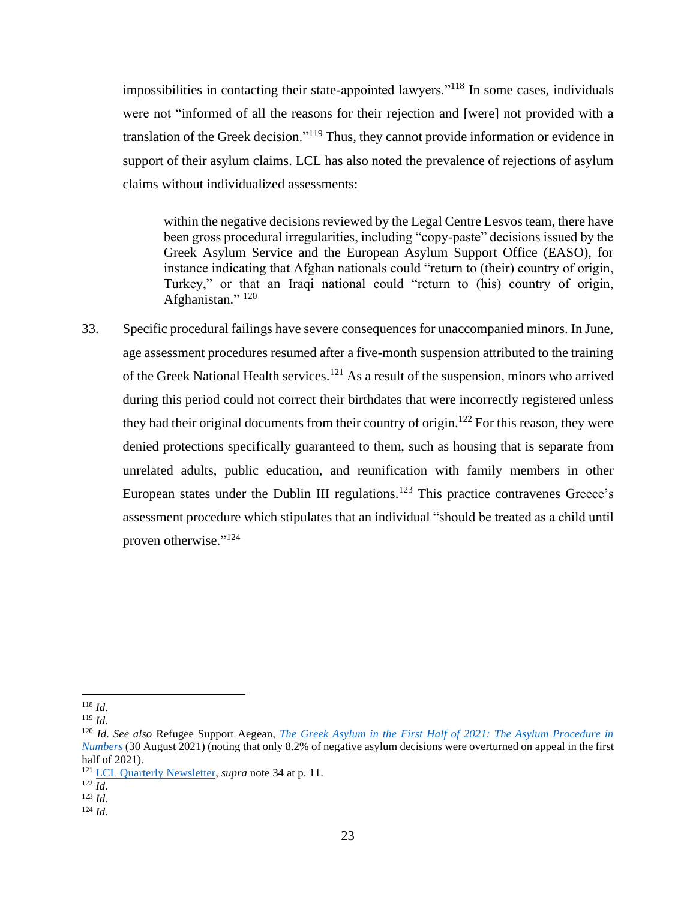impossibilities in contacting their state-appointed lawyers."<sup>118</sup> In some cases, individuals were not "informed of all the reasons for their rejection and [were] not provided with a translation of the Greek decision."<sup>119</sup> Thus, they cannot provide information or evidence in support of their asylum claims. LCL has also noted the prevalence of rejections of asylum claims without individualized assessments:

within the negative decisions reviewed by the Legal Centre Lesvos team, there have been gross procedural irregularities, including "copy-paste" decisions issued by the Greek Asylum Service and the European Asylum Support Office (EASO), for instance indicating that Afghan nationals could "return to (their) country of origin, Turkey," or that an Iraqi national could "return to (his) country of origin, Afghanistan."<sup>120</sup>

33. Specific procedural failings have severe consequences for unaccompanied minors. In June, age assessment procedures resumed after a five-month suspension attributed to the training of the Greek National Health services.<sup>121</sup> As a result of the suspension, minors who arrived during this period could not correct their birthdates that were incorrectly registered unless they had their original documents from their country of origin.<sup>122</sup> For this reason, they were denied protections specifically guaranteed to them, such as housing that is separate from unrelated adults, public education, and reunification with family members in other European states under the Dublin III regulations.<sup>123</sup> This practice contravenes Greece's assessment procedure which stipulates that an individual "should be treated as a child until proven otherwise."<sup>124</sup>

<sup>118</sup> *Id*.

<sup>119</sup> *Id*.

<sup>120</sup> *Id. See also* Refugee Support Aegean, *[The Greek Asylum in the First Half of 2021: The Asylum Procedure in](https://rsaegean.org/en/the-greek-asylum-in-the-first-half-of-2021-stats/)  [Numbers](https://rsaegean.org/en/the-greek-asylum-in-the-first-half-of-2021-stats/)* (30 August 2021) (noting that only 8.2% of negative asylum decisions were overturned on appeal in the first half of 2021).

<sup>121</sup> [LCL Quarterly Newsletter,](http://legalcentrelesvos.org/wp-content/uploads/2021/08/LCL-Quarterly-Newsletter-April-–-June-2021.pdf) *supra* note 34 at p. 11.

 $^{122}$   $\overline{Id}$ .

<sup>123</sup> *Id*.

<sup>124</sup> *Id*.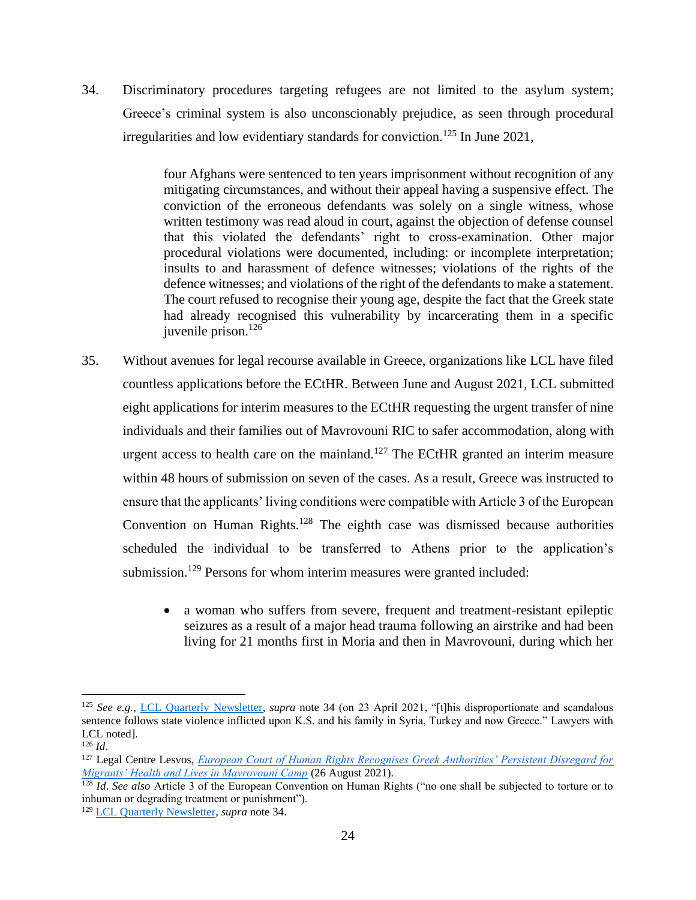34. Discriminatory procedures targeting refugees are not limited to the asylum system; Greece's criminal system is also unconscionably prejudice, as seen through procedural irregularities and low evidentiary standards for conviction. <sup>125</sup> In June 2021,

> four Afghans were sentenced to ten years imprisonment without recognition of any mitigating circumstances, and without their appeal having a suspensive effect. The conviction of the erroneous defendants was solely on a single witness, whose written testimony was read aloud in court, against the objection of defense counsel that this violated the defendants' right to cross-examination. Other major procedural violations were documented, including: or incomplete interpretation; insults to and harassment of defence witnesses; violations of the rights of the defence witnesses; and violations of the right of the defendants to make a statement. The court refused to recognise their young age, despite the fact that the Greek state had already recognised this vulnerability by incarcerating them in a specific juvenile prison.<sup>126</sup>

- 35. Without avenues for legal recourse available in Greece, organizations like LCL have filed countless applications before the ECtHR. Between June and August 2021, LCL submitted eight applications for interim measures to the ECtHR requesting the urgent transfer of nine individuals and their families out of Mavrovouni RIC to safer accommodation, along with urgent access to health care on the mainland.<sup>127</sup> The ECtHR granted an interim measure within 48 hours of submission on seven of the cases. As a result, Greece was instructed to ensure that the applicants' living conditions were compatible with Article 3 of the European Convention on Human Rights.<sup>128</sup> The eighth case was dismissed because authorities scheduled the individual to be transferred to Athens prior to the application's submission.<sup>129</sup> Persons for whom interim measures were granted included:
	- a woman who suffers from severe, frequent and treatment-resistant epileptic seizures as a result of a major head trauma following an airstrike and had been living for 21 months first in Moria and then in Mavrovouni, during which her

<sup>125</sup> *See e.g.*, [LCL Quarterly Newsletter,](http://legalcentrelesvos.org/wp-content/uploads/2021/08/LCL-Quarterly-Newsletter-April-–-June-2021.pdf) *supra* note 34 (on 23 April 2021, "[t]his disproportionate and scandalous sentence follows state violence inflicted upon K.S. and his family in Syria, Turkey and now Greece." Lawyers with LCL noted].

<sup>126</sup> *Id*.

<sup>127</sup> Legal Centre Lesvos, *[European Court of Human Rights Recognises Greek Authorities' Persistent Disregard for](https://legalcentrelesvos.org/2021/08/26/european-court-of-human-rights-recognises-greek-authorities-persistent-disregard-for-migrants-health-and-lives-in-mavrovouni-camp/)  [Migrants' Health and Lives in Mavrovouni Camp](https://legalcentrelesvos.org/2021/08/26/european-court-of-human-rights-recognises-greek-authorities-persistent-disregard-for-migrants-health-and-lives-in-mavrovouni-camp/)* (26 August 2021).

<sup>&</sup>lt;sup>128</sup> *Id. See also* Article 3 of the European Convention on Human Rights ("no one shall be subjected to torture or to inhuman or degrading treatment or punishment").

<sup>129</sup> [LCL Quarterly Newsletter,](http://legalcentrelesvos.org/wp-content/uploads/2021/08/LCL-Quarterly-Newsletter-April-–-June-2021.pdf) *supra* note 34.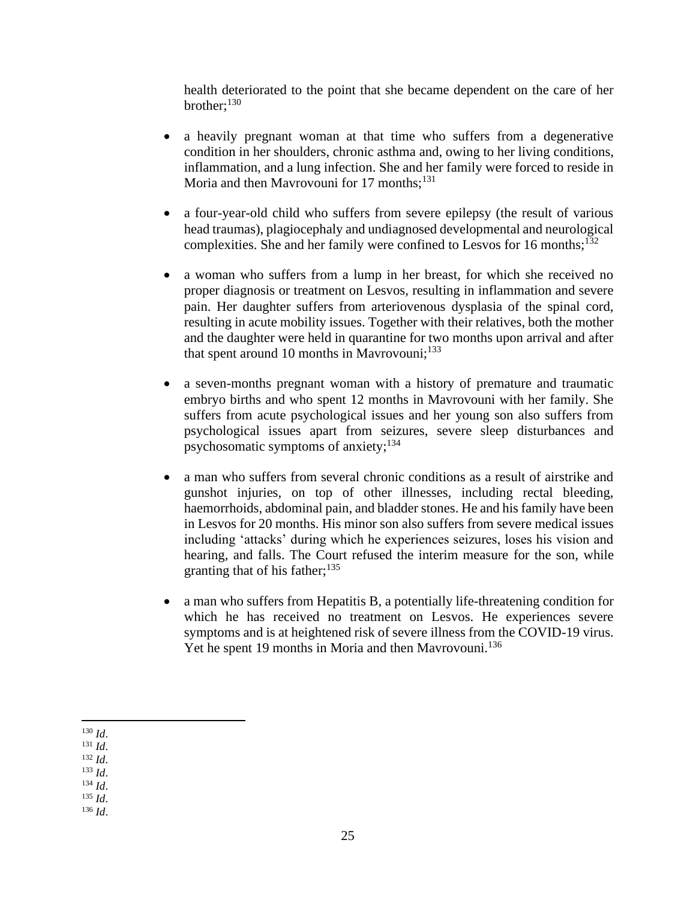health deteriorated to the point that she became dependent on the care of her brother;<sup>130</sup>

- a heavily pregnant woman at that time who suffers from a degenerative condition in her shoulders, chronic asthma and, owing to her living conditions, inflammation, and a lung infection. She and her family were forced to reside in Moria and then Mavrovouni for 17 months;<sup>131</sup>
- a four-year-old child who suffers from severe epilepsy (the result of various head traumas), plagiocephaly and undiagnosed developmental and neurological complexities. She and her family were confined to Lesvos for 16 months; $^{132}$
- a woman who suffers from a lump in her breast, for which she received no proper diagnosis or treatment on Lesvos, resulting in inflammation and severe pain. Her daughter suffers from arteriovenous dysplasia of the spinal cord, resulting in acute mobility issues. Together with their relatives, both the mother and the daughter were held in quarantine for two months upon arrival and after that spent around 10 months in Mavrovouni; $133$
- a seven-months pregnant woman with a history of premature and traumatic embryo births and who spent 12 months in Mavrovouni with her family. She suffers from acute psychological issues and her young son also suffers from psychological issues apart from seizures, severe sleep disturbances and psychosomatic symptoms of anxiety; $134$
- a man who suffers from several chronic conditions as a result of airstrike and gunshot injuries, on top of other illnesses, including rectal bleeding, haemorrhoids, abdominal pain, and bladder stones. He and his family have been in Lesvos for 20 months. His minor son also suffers from severe medical issues including 'attacks' during which he experiences seizures, loses his vision and hearing, and falls. The Court refused the interim measure for the son, while granting that of his father; $135$
- a man who suffers from Hepatitis B, a potentially life-threatening condition for which he has received no treatment on Lesvos. He experiences severe symptoms and is at heightened risk of severe illness from the COVID-19 virus. Yet he spent 19 months in Moria and then Mavrovouni.<sup>136</sup>

<sup>135</sup> *Id*. <sup>136</sup> *Id*.

<sup>130</sup> *Id*.

<sup>131</sup> *Id*.

<sup>132</sup> *Id*.

<sup>133</sup> *Id*.

<sup>134</sup> *Id*.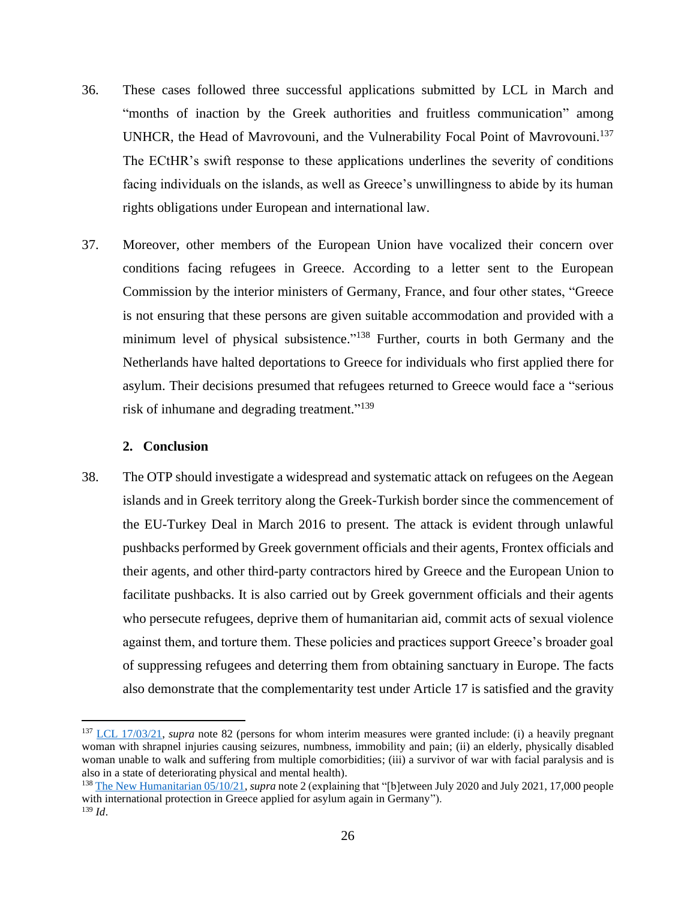- 36. These cases followed three successful applications submitted by LCL in March and "months of inaction by the Greek authorities and fruitless communication" among UNHCR, the Head of Mavrovouni, and the Vulnerability Focal Point of Mavrovouni.<sup>137</sup> The ECtHR's swift response to these applications underlines the severity of conditions facing individuals on the islands, as well as Greece's unwillingness to abide by its human rights obligations under European and international law.
- 37. Moreover, other members of the European Union have vocalized their concern over conditions facing refugees in Greece. According to a letter sent to the European Commission by the interior ministers of Germany, France, and four other states, "Greece is not ensuring that these persons are given suitable accommodation and provided with a minimum level of physical subsistence."<sup>138</sup> Further, courts in both Germany and the Netherlands have halted deportations to Greece for individuals who first applied there for asylum. Their decisions presumed that refugees returned to Greece would face a "serious risk of inhumane and degrading treatment."<sup>139</sup>

#### **2. Conclusion**

<span id="page-26-0"></span>38. The OTP should investigate a widespread and systematic attack on refugees on the Aegean islands and in Greek territory along the Greek-Turkish border since the commencement of the EU-Turkey Deal in March 2016 to present. The attack is evident through unlawful pushbacks performed by Greek government officials and their agents, Frontex officials and their agents, and other third-party contractors hired by Greece and the European Union to facilitate pushbacks. It is also carried out by Greek government officials and their agents who persecute refugees, deprive them of humanitarian aid, commit acts of sexual violence against them, and torture them. These policies and practices support Greece's broader goal of suppressing refugees and deterring them from obtaining sanctuary in Europe. The facts also demonstrate that the complementarity test under Article 17 is satisfied and the gravity

<sup>137</sup> [LCL 17/03/21,](https://legalcentrelesvos.org/2021/03/17/greek-government-instructed-by-european-court-of-human-rights-to-guarantee-rights-of-3-lcl-clients-an-indictment-of-reception-conditions-in-lesvos/) *supra* note 82 (persons for whom interim measures were granted include: (i) a heavily pregnant woman with shrapnel injuries causing seizures, numbness, immobility and pain; (ii) an elderly, physically disabled woman unable to walk and suffering from multiple comorbidities; (iii) a survivor of war with facial paralysis and is also in a state of deteriorating physical and mental health).

<sup>138</sup> [The New Humanitarian 05/10/21,](https://www.thenewhumanitarian.org/news-feature/2021/10/5/Greece-says-migration-crisis-over-refugees-beg-to-differ) *supra* note 2 (explaining that "[b]etween July 2020 and July 2021, 17,000 people with international protection in Greece applied for asylum again in Germany"). <sup>139</sup> *Id*.